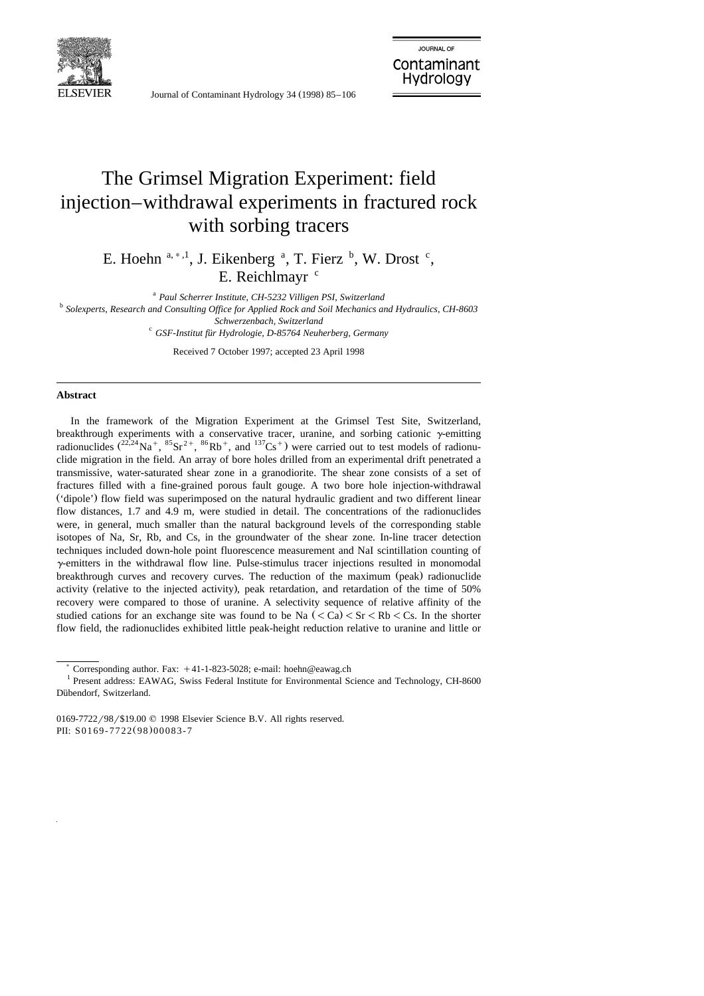

Journal of Contaminant Hydrology 34 (1998) 85-106

# The Grimsel Migration Experiment: field injection–withdrawal experiments in fractured rock with sorbing tracers

E. Hoehn  $a, a, 1$ , J. Eikenberg  $a, T$ . Fierz  $b, W$ . Drost  $c,$ E. Reichlmayr $c$ 

<sup>a</sup> *Paul Scherrer Institute, CH-5232 Villigen PSI, Switzerland* <sup>b</sup> *Solexperts, Research and Consulting Office for Applied Rock and Soil Mechanics and Hydraulics, CH-8603 Schwerzenbach, Switzerland* <sup>c</sup> *GSF-Institut fur Hydrologie, D-85764 Neuherberg, Germany* ¨

Received 7 October 1997; accepted 23 April 1998

## **Abstract**

In the framework of the Migration Experiment at the Grimsel Test Site, Switzerland, breakthrough experiments with a conservative tracer, uranine, and sorbing cationic  $\gamma$ -emitting radionuclides  $\left(2^{2,24}Na^+, \,^{85}Sr^{2+}, \,^{86}Rb^+, \text{ and }^{137}Cs^+ \right)$  were carried out to test models of radionuclide migration in the field. An array of bore holes drilled from an experimental drift penetrated a transmissive, water-saturated shear zone in a granodiorite. The shear zone consists of a set of fractures filled with a fine-grained porous fault gouge. A two bore hole injection-withdrawal ('dipole') flow field was superimposed on the natural hydraulic gradient and two different linear flow distances, 1.7 and 4.9 m, were studied in detail. The concentrations of the radionuclides were, in general, much smaller than the natural background levels of the corresponding stable isotopes of Na, Sr, Rb, and Cs, in the groundwater of the shear zone. In-line tracer detection techniques included down-hole point fluorescence measurement and NaI scintillation counting of  $\gamma$ -emitters in the withdrawal flow line. Pulse-stimulus tracer injections resulted in monomodal breakthrough curves and recovery curves. The reduction of the maximum (peak) radionuclide activity (relative to the injected activity), peak retardation, and retardation of the time of 50% recovery were compared to those of uranine. A selectivity sequence of relative affinity of the studied cations for an exchange site was found to be Na  $\left( \langle \text{Ca} \rangle \langle \text{Sr} \rangle \langle \text{Rb} \rangle \langle \text{Cs} \rangle \right)$ . In the shorter flow field, the radionuclides exhibited little peak-height reduction relative to uranine and little or

<sup>&</sup>lt;sup>\*</sup> Corresponding author. Fax:  $+41$ -1-823-5028; e-mail: hoehn@eawag.ch  $1$  Present address: EAWAG, Swiss Federal Institute for Environmental Science and Technology, CH-8600 Dübendorf, Switzerland.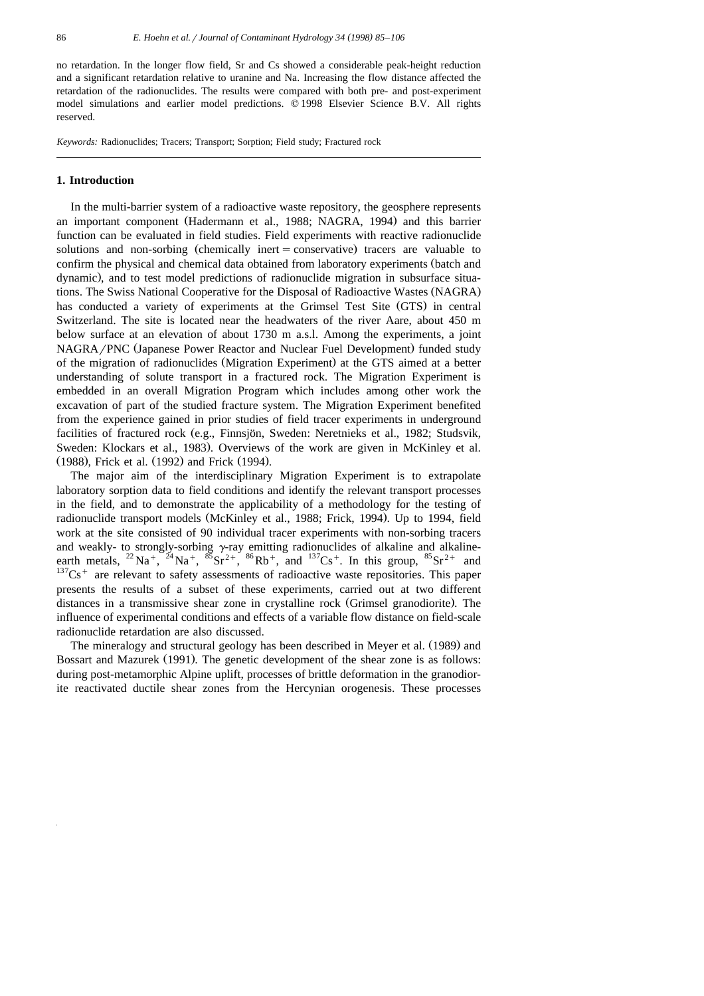no retardation. In the longer flow field, Sr and Cs showed a considerable peak-height reduction and a significant retardation relative to uranine and Na. Increasing the flow distance affected the retardation of the radionuclides. The results were compared with both pre- and post-experiment model simulations and earlier model predictions. © 1998 Elsevier Science B.V. All rights reserved.

*Keywords:* Radionuclides; Tracers; Transport; Sorption; Field study; Fractured rock

## **1. Introduction**

In the multi-barrier system of a radioactive waste repository, the geosphere represents an important component (Hadermann et al., 1988; NAGRA, 1994) and this barrier function can be evaluated in field studies. Field experiments with reactive radionuclide solutions and non-sorbing (chemically inert  $=$  conservative) tracers are valuable to confirm the physical and chemical data obtained from laboratory experiments (batch and dynamic), and to test model predictions of radionuclide migration in subsurface situations. The Swiss National Cooperative for the Disposal of Radioactive Wastes (NAGRA) has conducted a variety of experiments at the Grimsel Test Site (GTS) in central Switzerland. The site is located near the headwaters of the river Aare, about 450 m below surface at an elevation of about 1730 m a.s.l. Among the experiments, a joint NAGRA/PNC (Japanese Power Reactor and Nuclear Fuel Development) funded study of the migration of radionuclides (Migration Experiment) at the GTS aimed at a better understanding of solute transport in a fractured rock. The Migration Experiment is embedded in an overall Migration Program which includes among other work the excavation of part of the studied fracture system. The Migration Experiment benefited from the experience gained in prior studies of field tracer experiments in underground facilities of fractured rock (e.g., Finnsjön, Sweden: Neretnieks et al., 1982; Studsvik, Sweden: Klockars et al., 1983). Overviews of the work are given in McKinley et al. (1988), Frick et al. (1992) and Frick (1994).

The major aim of the interdisciplinary Migration Experiment is to extrapolate laboratory sorption data to field conditions and identify the relevant transport processes in the field, and to demonstrate the applicability of a methodology for the testing of radionuclide transport models (McKinley et al., 1988; Frick, 1994). Up to 1994, field work at the site consisted of 90 individual tracer experiments with non-sorbing tracers and weakly- to strongly-sorbing  $\gamma$ -ray emitting radionuclides of alkaline and alkalineearth metals, <sup>22</sup>Na<sup>+</sup>, <sup>24</sup>Na<sup>+</sup>, <sup>85</sup>Sr<sup>2+</sup>, <sup>86</sup>Rb<sup>+</sup>, and <sup>137</sup>Cs<sup>+</sup>. In this group, <sup>85</sup>Sr<sup>2+</sup> and <sup>137</sup>Cs<sup>+</sup> are relevant to safety assessments of radioactive waste repositories. This paper presents the results of a subset of these experiments, carried out at two different distances in a transmissive shear zone in crystalline rock (Grimsel granodiorite). The influence of experimental conditions and effects of a variable flow distance on field-scale radionuclide retardation are also discussed.

The mineralogy and structural geology has been described in Meyer et al. (1989) and Bossart and Mazurek (1991). The genetic development of the shear zone is as follows: during post-metamorphic Alpine uplift, processes of brittle deformation in the granodiorite reactivated ductile shear zones from the Hercynian orogenesis. These processes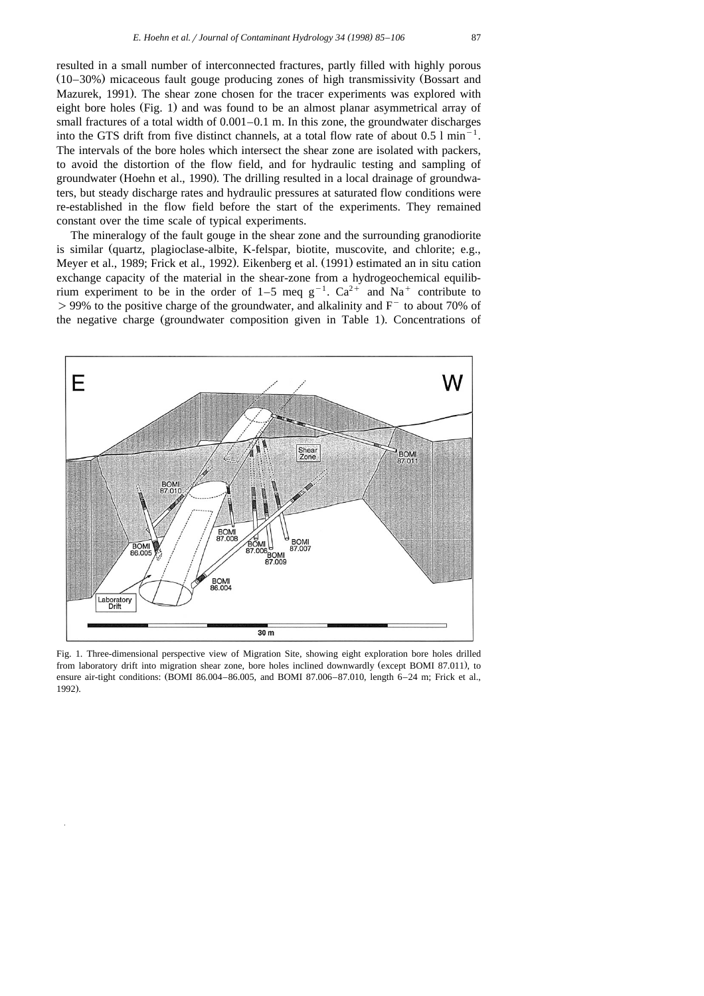resulted in a small number of interconnected fractures, partly filled with highly porous  $(10-30%)$  micaceous fault gouge producing zones of high transmissivity (Bossart and Mazurek, 1991). The shear zone chosen for the tracer experiments was explored with eight bore holes  $(Fig. 1)$  and was found to be an almost planar asymmetrical array of small fractures of a total width of  $0.001-0.1$  m. In this zone, the groundwater discharges into the GTS drift from five distinct channels, at a total flow rate of about  $0.5 \text{ l min}^{-1}$ . The intervals of the bore holes which intersect the shear zone are isolated with packers, to avoid the distortion of the flow field, and for hydraulic testing and sampling of groundwater (Hoehn et al., 1990). The drilling resulted in a local drainage of groundwaters, but steady discharge rates and hydraulic pressures at saturated flow conditions were re-established in the flow field before the start of the experiments. They remained constant over the time scale of typical experiments.

The mineralogy of the fault gouge in the shear zone and the surrounding granodiorite is similar (quartz, plagioclase-albite, K-felspar, biotite, muscovite, and chlorite; e.g., Meyer et al., 1989; Frick et al., 1992). Eikenberg et al. (1991) estimated an in situ cation exchange capacity of the material in the shear-zone from a hydrogeochemical equilibrium experiment to be in the order of 1–5 meq  $g^{-1}$ .  $Ca^{2+}$  and Na<sup>+</sup> contribute to  $>99%$  to the positive charge of the groundwater, and alkalinity and  $F^-$  to about 70% of the negative charge (groundwater composition given in Table 1). Concentrations of



Fig. 1. Three-dimensional perspective view of Migration Site, showing eight exploration bore holes drilled from laboratory drift into migration shear zone, bore holes inclined downwardly (except BOMI 87.011), to ensure air-tight conditions: (BOMI 86.004–86.005, and BOMI 87.006–87.010, length 6–24 m; Frick et al., 1992).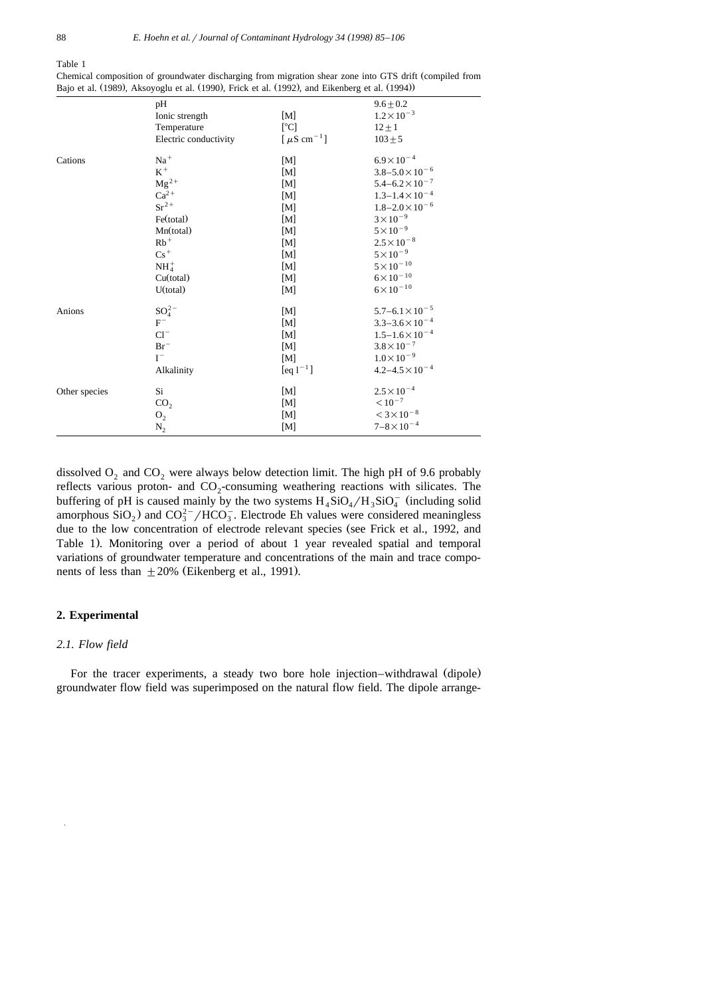Table 1

|               | pH                    |                              | $9.6 \pm 0.2$                      |  |
|---------------|-----------------------|------------------------------|------------------------------------|--|
|               | Ionic strength        | [M]                          | $1.2 \times 10^{-3}$               |  |
|               | Temperature           | [°C]                         | $12 \pm 1$                         |  |
|               | Electric conductivity | [ $\mu$ S cm <sup>-1</sup> ] | $103 + 5$                          |  |
| Cations       | $Na+$                 | [M]                          | $6.9 \times 10^{-4}$               |  |
|               | $\mbox{K}^+$          | [M]                          | $3.8 - 5.0 \times 10^{-6}$         |  |
|               | $Mg^{2+}$             | [M]                          | $5.4 - 6.2 \times 10^{-7}$         |  |
|               | $Ca^{2+}$             | [M]                          | $1.3 - 1.4 \times 10^{-4}$         |  |
|               | $Sr^{2+}$             | [M]                          | $1.8 - 2.0 \times 10^{-6}$         |  |
|               | Fe(total)             | [M]                          | $3\times10^{-9}$                   |  |
|               | Mn(total)             | [M]                          | $5 \times 10^{-9}$                 |  |
|               | $Rb^+$                | [M]                          | $2.5 \times 10^{-8}$               |  |
|               | $Cs^+$                | [M]                          | $5 \times 10^{-9}$                 |  |
|               | $NH4+$                | [M]                          | $5\times10^{-10}$                  |  |
|               | Cu(total)             | [M]                          | $6\!\times\!10^{-10}$              |  |
|               | U(total)              | [M]                          | $6 \times 10^{-10}$                |  |
| Anions        | $SO_4^{2-}$           | [M]                          | $5.7\text{--}6.1\!\times\!10^{-5}$ |  |
|               | $F^-$                 | [M]                          | $3.3 - 3.6 \times 10^{-4}$         |  |
|               | $Cl^{-}$              | $[{\rm M}]$                  | $1.5 - 1.6 \times 10^{-4}$         |  |
|               | $Br^-$                | [M]                          | $3.8\times10^{-7}$                 |  |
|               | $I^-$                 | [M]                          | $1.0\times10^{-9}$                 |  |
|               | Alkalinity            | $[eq1^{-1}]$                 | $4.2 - 4.5 \times 10^{-4}$         |  |
| Other species | Si                    | [M]                          | $2.5 \times 10^{-4}$               |  |
|               | CO <sub>2</sub>       | [M]                          | $< 10^{-7}$                        |  |
|               | O <sub>2</sub>        | [M]                          | $<3\times10^{-8}$                  |  |
|               | $N_2$                 | [M]                          | $7 - 8 \times 10^{-4}$             |  |

Chemical composition of groundwater discharging from migration shear zone into GTS drift (compiled from Bajo et al.  $(1989)$ , Aksoyoglu et al.  $(1990)$ , Frick et al.  $(1992)$ , and Eikenberg et al.  $(1994)$ )

dissolved  $O_2$  and  $CO_2$  were always below detection limit. The high pH of 9.6 probably reflects various proton- and  $CO<sub>2</sub>$ -consuming weathering reactions with silicates. The buffering of pH is caused mainly by the two systems  $H_4SiO_4/H_3SiO_4^-$  (including solid amorphous SiO<sub>2</sub>) and CO<sub>3</sub><sup>2-</sup>/HCO<sub>3</sub>. Electrode Eh values were considered meaningless due to the low concentration of electrode relevant species (see Frick et al., 1992, and Table 1). Monitoring over a period of about 1 year revealed spatial and temporal variations of groundwater temperature and concentrations of the main and trace components of less than  $\pm 20\%$  (Eikenberg et al., 1991).

## **2. Experimental**

## *2.1. Flow field*

For the tracer experiments, a steady two bore hole injection–withdrawal (dipole) groundwater flow field was superimposed on the natural flow field. The dipole arrange-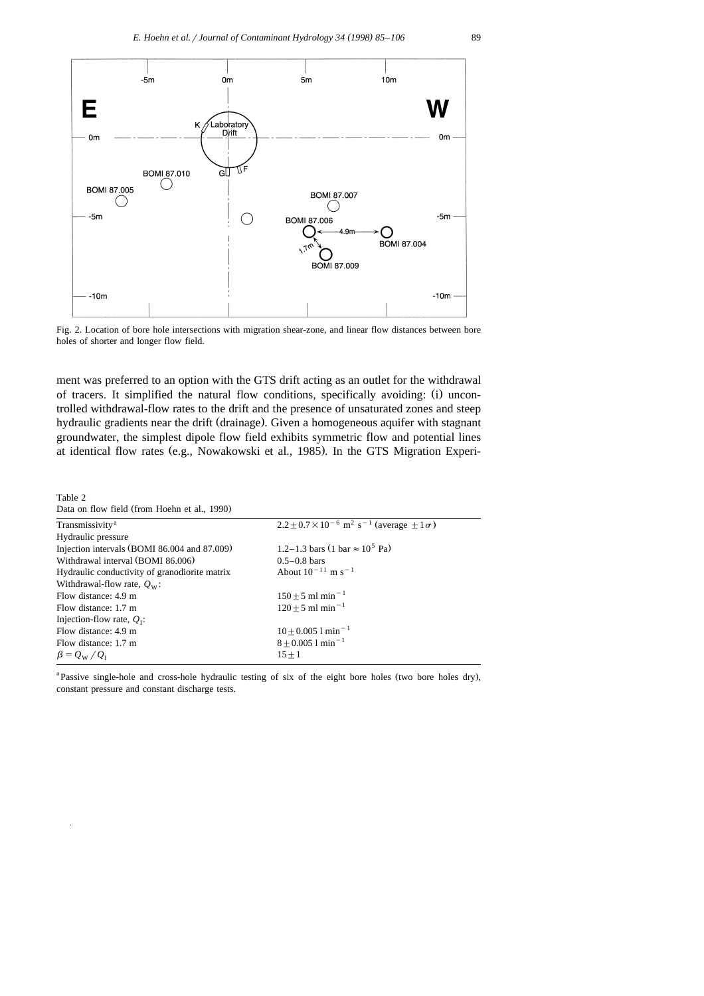

Fig. 2. Location of bore hole intersections with migration shear-zone, and linear flow distances between bore holes of shorter and longer flow field.

ment was preferred to an option with the GTS drift acting as an outlet for the withdrawal of tracers. It simplified the natural flow conditions, specifically avoiding: (i) uncontrolled withdrawal-flow rates to the drift and the presence of unsaturated zones and steep hydraulic gradients near the drift (drainage). Given a homogeneous aquifer with stagnant groundwater, the simplest dipole flow field exhibits symmetric flow and potential lines at identical flow rates (e.g., Nowakowski et al., 1985). In the GTS Migration Experi-

Table 2

| Data on flow field (from Hoehn et al., 1990) |  |  |  |  |
|----------------------------------------------|--|--|--|--|
|----------------------------------------------|--|--|--|--|

| Transmissivity <sup>a</sup>                   | $2.2 + 0.7 \times 10^{-6}$ m <sup>2</sup> s <sup>-1</sup> (average +1 $\sigma$ ) |
|-----------------------------------------------|----------------------------------------------------------------------------------|
| Hydraulic pressure                            |                                                                                  |
| Injection intervals (BOMI 86.004 and 87.009)  | 1.2–1.3 bars (1 bar $\approx 10^5$ Pa)                                           |
| Withdrawal interval (BOMI 86.006)             | $0.5 - 0.8$ bars                                                                 |
| Hydraulic conductivity of granodiorite matrix | About $10^{-11}$ m s <sup>-1</sup>                                               |
| Withdrawal-flow rate, $Q_W$ :                 |                                                                                  |
| Flow distance: 4.9 m                          | $150 + 5$ ml min <sup>-1</sup>                                                   |
| Flow distance: 1.7 m                          | $120 + 5$ ml min <sup>-1</sup>                                                   |
| Injection-flow rate, $Q_{I}$ :                |                                                                                  |
| Flow distance: 4.9 m                          | $10 + 0.0051$ min <sup>-1</sup>                                                  |
| Flow distance: 1.7 m                          | $8 \pm 0.005$ 1 min <sup>-1</sup>                                                |
| $\beta = Q_{\rm W}/Q_{\rm L}$                 | $15 + 1$                                                                         |
|                                               |                                                                                  |

<sup>a</sup> Passive single-hole and cross-hole hydraulic testing of six of the eight bore holes (two bore holes dry), constant pressure and constant discharge tests.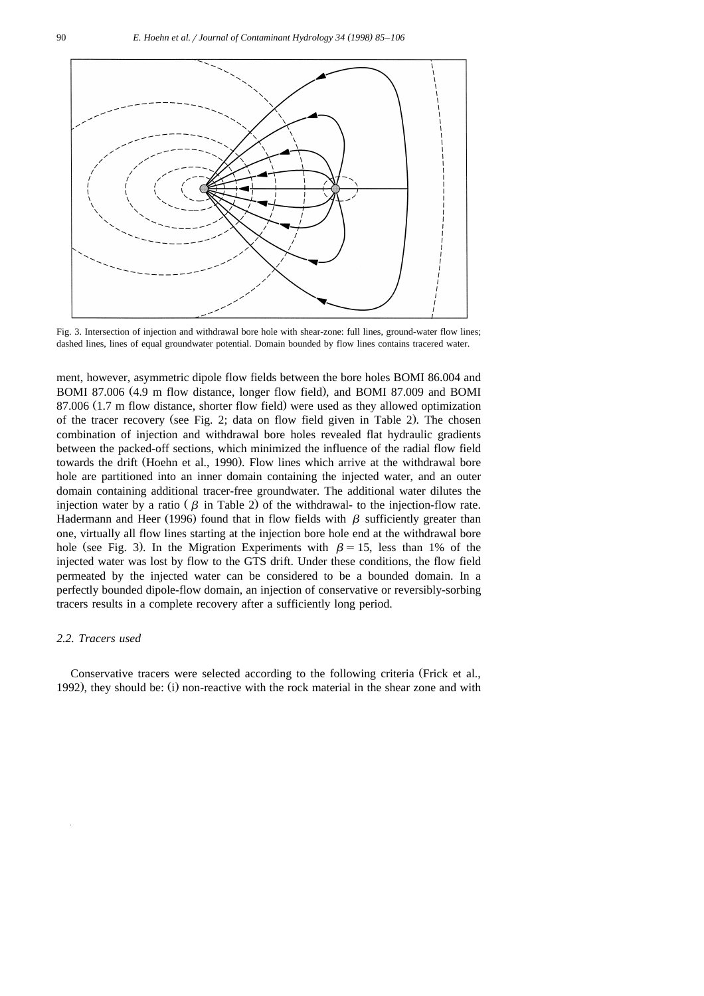

Fig. 3. Intersection of injection and withdrawal bore hole with shear-zone: full lines, ground-water flow lines; dashed lines, lines of equal groundwater potential. Domain bounded by flow lines contains tracered water.

ment, however, asymmetric dipole flow fields between the bore holes BOMI 86.004 and BOMI 87.006 (4.9 m flow distance, longer flow field), and BOMI 87.009 and BOMI 87.006 (1.7 m flow distance, shorter flow field) were used as they allowed optimization of the tracer recovery (see Fig. 2; data on flow field given in Table 2). The chosen combination of injection and withdrawal bore holes revealed flat hydraulic gradients between the packed-off sections, which minimized the influence of the radial flow field towards the drift (Hoehn et al., 1990). Flow lines which arrive at the withdrawal bore hole are partitioned into an inner domain containing the injected water, and an outer domain containing additional tracer-free groundwater. The additional water dilutes the injection water by a ratio ( $\beta$  in Table 2) of the withdrawal- to the injection-flow rate. Hadermann and Heer (1996) found that in flow fields with  $\beta$  sufficiently greater than one, virtually all flow lines starting at the injection bore hole end at the withdrawal bore hole (see Fig. 3). In the Migration Experiments with  $\beta = 15$ , less than 1% of the injected water was lost by flow to the GTS drift. Under these conditions, the flow field permeated by the injected water can be considered to be a bounded domain. In a perfectly bounded dipole-flow domain, an injection of conservative or reversibly-sorbing tracers results in a complete recovery after a sufficiently long period.

## *2.2. Tracers used*

Conservative tracers were selected according to the following criteria (Frick et al., 1992), they should be:  $(i)$  non-reactive with the rock material in the shear zone and with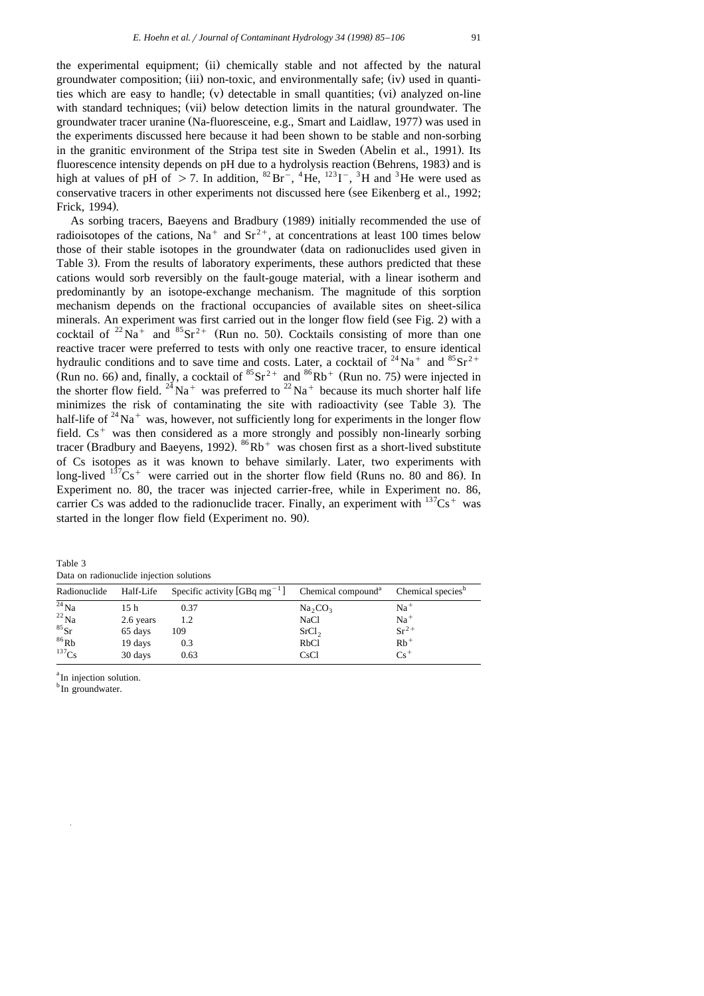the experimental equipment; (ii) chemically stable and not affected by the natural groundwater composition; (iii) non-toxic, and environmentally safe; (iv) used in quantities which are easy to handle; (v) detectable in small quantities; (vi) analyzed on-line with standard techniques; (vii) below detection limits in the natural groundwater. The groundwater tracer uranine (Na-fluoresceine, e.g., Smart and Laidlaw, 1977) was used in the experiments discussed here because it had been shown to be stable and non-sorbing in the granitic environment of the Stripa test site in Sweden (Abelin et al., 1991). Its fluorescence intensity depends on pH due to a hydrolysis reaction (Behrens, 1983) and is high at values of pH of > 7. In addition,  ${}^{82}Br^{-}$ ,  ${}^{4}He$ ,  ${}^{123}I^{-}$ ,  ${}^{3}H$  and  ${}^{3}He$  were used as conservative tracers in other experiments not discussed here (see Eikenberg et al., 1992; Frick, 1994).

As sorbing tracers, Baeyens and Bradbury (1989) initially recommended the use of radioisotopes of the cations, Na<sup>+</sup> and Sr<sup>2+</sup>, at concentrations at least 100 times below those of their stable isotopes in the groundwater (data on radionuclides used given in Table 3). From the results of laboratory experiments, these authors predicted that these cations would sorb reversibly on the fault-gouge material, with a linear isotherm and predominantly by an isotope-exchange mechanism. The magnitude of this sorption mechanism depends on the fractional occupancies of available sites on sheet-silica minerals. An experiment was first carried out in the longer flow field (see Fig. 2) with a cocktail of <sup>22</sup> Na<sup>+</sup> and <sup>85</sup> Sr<sup>2+</sup> (Run no. 50). Cocktails consisting of more than one reactive tracer were preferred to tests with only one reactive tracer, to ensure identical hydraulic conditions and to save time and costs. Later, a cocktail of  $^{24}$ Na<sup>+</sup> and  $^{85}$ Sr<sup>2+</sup> (Run no. 66) and, finally, a cocktail of  ${}^{85}Sr^{2+}$  and  ${}^{86}Rb^+$  (Run no. 75) were injected in the shorter flow field. <sup>24</sup>Na<sup>+</sup> was preferred to <sup>22</sup>Na<sup>+</sup> because its much shorter half life minimizes the risk of contaminating the site with radioactivity (see Table 3). The half-life of  $24\text{Na}^+$  was, however, not sufficiently long for experiments in the longer flow field.  $Cs<sup>+</sup>$  was then considered as a more strongly and possibly non-linearly sorbing tracer (Bradbury and Baeyens, 1992).  ${}^{86}Rb$ <sup>+</sup> was chosen first as a short-lived substitute of Cs isotopes as it was known to behave similarly. Later, two experiments with long-lived  $137Cs$ <sup>+</sup> were carried out in the shorter flow field (Runs no. 80 and 86). In Experiment no. 80, the tracer was injected carrier-free, while in Experiment no. 86, carrier Cs was added to the radionuclide tracer. Finally, an experiment with  $137Cs<sup>+</sup>$  was started in the longer flow field (Experiment no. 90).

Table 3 Data on radionuclide injection solutions

| Radionuclide       | Half-Life       | Specific activity [GBq mg <sup>-1</sup> ] | Chemical compound <sup>a</sup> | Chemical species <sup>b</sup> |
|--------------------|-----------------|-------------------------------------------|--------------------------------|-------------------------------|
| $\frac{24}{11}$ Na | 15 <sub>h</sub> | 0.37                                      | $Na_2CO_3$                     | $Na+$                         |
| $^{22}$ Na         | 2.6 years       | 1.2                                       | NaCl                           | $Na+$                         |
| ${}^{85}Sr$        | 65 days         | 109                                       | SrCl <sub>2</sub>              | $Sr^{2+}$                     |
| $86$ Rb            | 19 days         | 0.3                                       | RbC1                           | $Rb$ <sup>+</sup>             |
| $^{137}Cs$         | 30 days         | 0.63                                      | CsCl                           | $Cs^+$                        |

<sup>a</sup>In injection solution.

<sup>b</sup>In groundwater.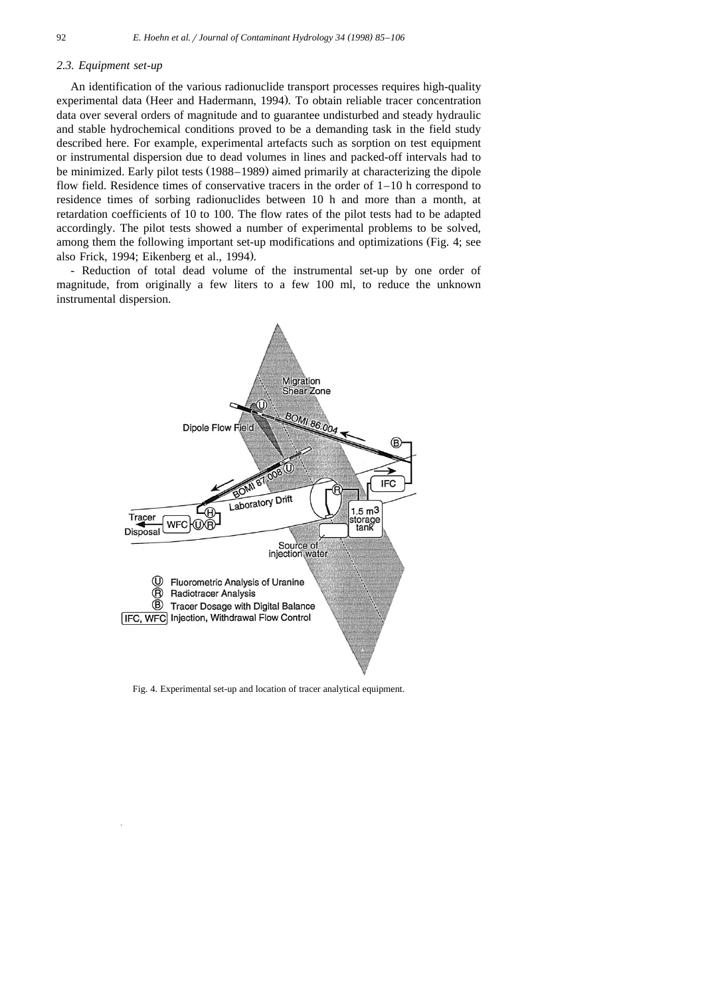#### *2.3. Equipment set-up*

An identification of the various radionuclide transport processes requires high-quality experimental data (Heer and Hadermann, 1994). To obtain reliable tracer concentration data over several orders of magnitude and to guarantee undisturbed and steady hydraulic and stable hydrochemical conditions proved to be a demanding task in the field study described here. For example, experimental artefacts such as sorption on test equipment or instrumental dispersion due to dead volumes in lines and packed-off intervals had to be minimized. Early pilot tests (1988–1989) aimed primarily at characterizing the dipole flow field. Residence times of conservative tracers in the order of  $1-10$  h correspond to residence times of sorbing radionuclides between 10 h and more than a month, at retardation coefficients of 10 to 100. The flow rates of the pilot tests had to be adapted accordingly. The pilot tests showed a number of experimental problems to be solved, among them the following important set-up modifications and optimizations (Fig. 4; see also Frick, 1994; Eikenberg et al., 1994).

- Reduction of total dead volume of the instrumental set-up by one order of magnitude, from originally a few liters to a few 100 ml, to reduce the unknown instrumental dispersion.



Fig. 4. Experimental set-up and location of tracer analytical equipment.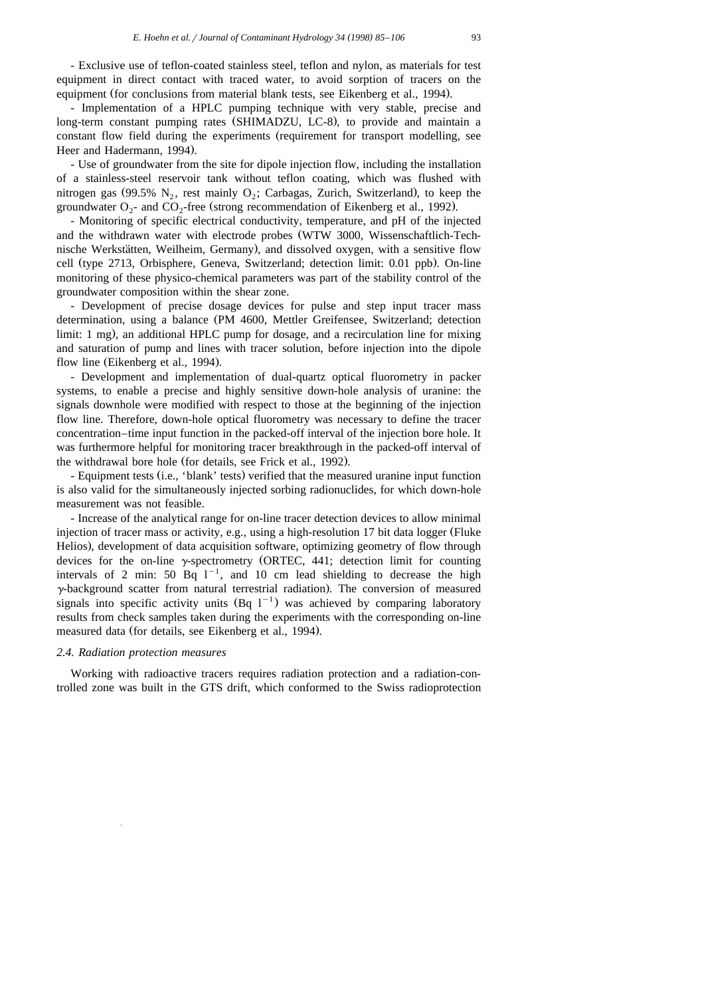- Exclusive use of teflon-coated stainless steel, teflon and nylon, as materials for test equipment in direct contact with traced water, to avoid sorption of tracers on the equipment (for conclusions from material blank tests, see Eikenberg et al., 1994).

- Implementation of a HPLC pumping technique with very stable, precise and long-term constant pumping rates (SHIMADZU, LC-8), to provide and maintain a constant flow field during the experiments (requirement for transport modelling, see Heer and Hadermann, 1994).

- Use of groundwater from the site for dipole injection flow, including the installation of a stainless-steel reservoir tank without teflon coating, which was flushed with nitrogen gas (99.5% N<sub>2</sub>, rest mainly  $O_2$ ; Carbagas, Zurich, Switzerland), to keep the groundwater  $O_2$ - and  $CO_2$ -free (strong recommendation of Eikenberg et al., 1992).

- Monitoring of specific electrical conductivity, temperature, and pH of the injected and the withdrawn water with electrode probes (WTW 3000, Wissenschaftlich-Technische Werkstätten, Weilheim, Germany), and dissolved oxygen, with a sensitive flow cell (type 2713, Orbisphere, Geneva, Switzerland; detection limit: 0.01 ppb). On-line monitoring of these physico-chemical parameters was part of the stability control of the groundwater composition within the shear zone.

- Development of precise dosage devices for pulse and step input tracer mass determination, using a balance (PM 4600, Mettler Greifensee, Switzerland; detection  $\lim$ it: 1 mg), an additional HPLC pump for dosage, and a recirculation line for mixing and saturation of pump and lines with tracer solution, before injection into the dipole flow line (Eikenberg et al., 1994).

- Development and implementation of dual-quartz optical fluorometry in packer systems, to enable a precise and highly sensitive down-hole analysis of uranine: the signals downhole were modified with respect to those at the beginning of the injection flow line. Therefore, down-hole optical fluorometry was necessary to define the tracer concentration–time input function in the packed-off interval of the injection bore hole. It was furthermore helpful for monitoring tracer breakthrough in the packed-off interval of the withdrawal bore hole (for details, see Frick et al., 1992).

- Equipment tests (i.e., 'blank' tests) verified that the measured uranine input function is also valid for the simultaneously injected sorbing radionuclides, for which down-hole measurement was not feasible.

- Increase of the analytical range for on-line tracer detection devices to allow minimal injection of tracer mass or activity, e.g., using a high-resolution 17 bit data logger (Fluke Helios), development of data acquisition software, optimizing geometry of flow through devices for the on-line  $\gamma$ -spectrometry (ORTEC, 441; detection limit for counting intervals of 2 min: 50 Bq  $1^{-1}$ , and 10 cm lead shielding to decrease the high  $\gamma$ -background scatter from natural terrestrial radiation). The conversion of measured signals into specific activity units  $(Bq \ 1^{-1})$  was achieved by comparing laboratory results from check samples taken during the experiments with the corresponding on-line measured data (for details, see Eikenberg et al., 1994).

## *2.4. Radiation protection measures*

Working with radioactive tracers requires radiation protection and a radiation-controlled zone was built in the GTS drift, which conformed to the Swiss radioprotection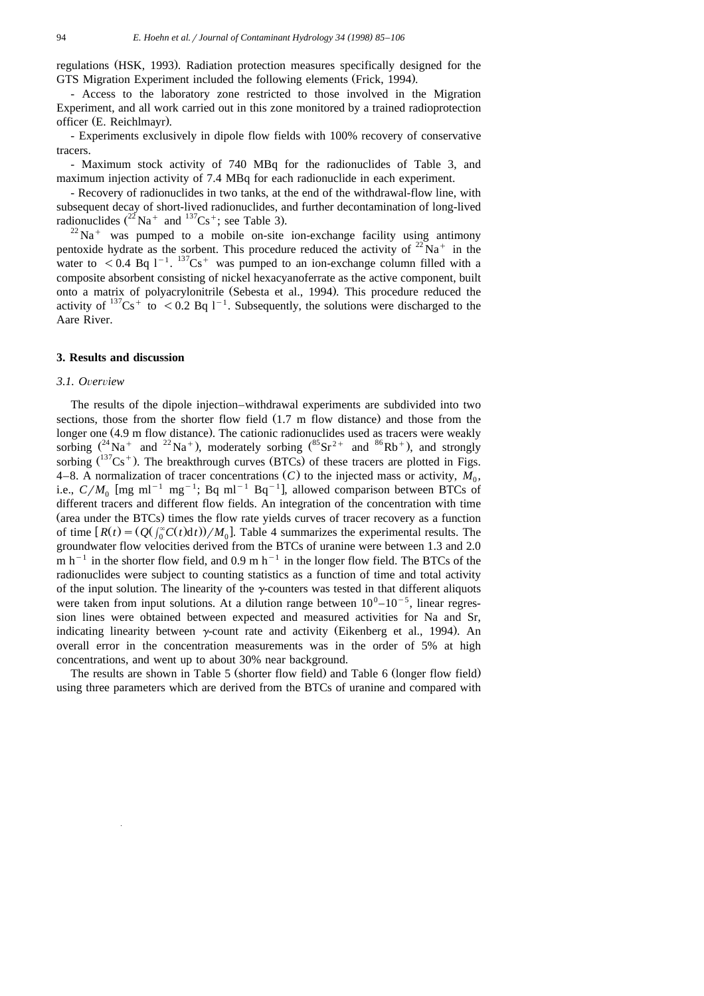regulations (HSK, 1993). Radiation protection measures specifically designed for the GTS Migration Experiment included the following elements (Frick, 1994).

- Access to the laboratory zone restricted to those involved in the Migration Experiment, and all work carried out in this zone monitored by a trained radioprotection officer (E. Reichlmayr).

- Experiments exclusively in dipole flow fields with 100% recovery of conservative tracers.

- Maximum stock activity of 740 MBq for the radionuclides of Table 3, and maximum injection activity of 7.4 MBq for each radionuclide in each experiment.

- Recovery of radionuclides in two tanks, at the end of the withdrawal-flow line, with subsequent decay of short-lived radionuclides, and further decontamination of long-lived radionuclides  $(^{22}$  Na<sup>+</sup> and  $^{137}Cs$ <sup>+</sup>; see Table 3).

 $^{22}$ Na<sup>+</sup> was pumped to a mobile on-site ion-exchange facility using antimony pentoxide hydrate as the sorbent. This procedure reduced the activity of  $22\text{ Na}^+$  in the water to  $\leq 0.4$  Bq 1<sup>-1</sup>. <sup>137</sup>Cs<sup>+</sup> was pumped to an ion-exchange column filled with a composite absorbent consisting of nickel hexacyanoferrate as the active component, built onto a matrix of polyacrylonitrile (Sebesta et al., 1994). This procedure reduced the activity of  $137Cs^+$  to  $\lt 0.2$  Bq  $1^{-1}$ . Subsequently, the solutions were discharged to the Aare River.

## **3. Results and discussion**

## *3.1. O*Õ*er*Õ*iew*

The results of the dipole injection–withdrawal experiments are subdivided into two sections, those from the shorter flow field  $(1.7 \text{ m}$  flow distance) and those from the longer one (4.9 m flow distance). The cationic radionuclides used as tracers were weakly sorbing  $(^{24}Na^{+}$  and  $^{22}Na^{+}$ ), moderately sorbing  $(^{85}Sr^{2+}$  and  $^{86}Rb^{+})$ , and strongly sorbing  $({}^{137}Cs^+)$ . The breakthrough curves (BTCs) of these tracers are plotted in Figs. 4–8. A normalization of tracer concentrations  $(C)$  to the injected mass or activity,  $M_0$ , i.e.,  $C/M_0$  [mg ml<sup>-1</sup> mg<sup>-1</sup>; Bq ml<sup>-1</sup> Bq<sup>-1</sup>], allowed comparison between BTCs of different tracers and different flow fields. An integration of the concentration with time (area under the BTCs) times the flow rate yields curves of tracer recovery as a function of time  $R(t) = (Q(\int_0^{\infty} C(t) dt)) / M_0$ . Table 4 summarizes the experimental results. The groundwater flow velocities derived from the BTCs of uranine were between 1.3 and 2.0 m h<sup>-1</sup> in the shorter flow field, and 0.9 m h<sup>-1</sup> in the longer flow field. The BTCs of the radionuclides were subject to counting statistics as a function of time and total activity of the input solution. The linearity of the  $\gamma$ -counters was tested in that different aliquots were taken from input solutions. At a dilution range between  $10^0 - 10^{-5}$ , linear regression lines were obtained between expected and measured activities for Na and Sr, indicating linearity between  $\gamma$ -count rate and activity (Eikenberg et al., 1994). An overall error in the concentration measurements was in the order of 5% at high concentrations, and went up to about 30% near background.

The results are shown in Table 5 (shorter flow field) and Table 6 (longer flow field) using three parameters which are derived from the BTCs of uranine and compared with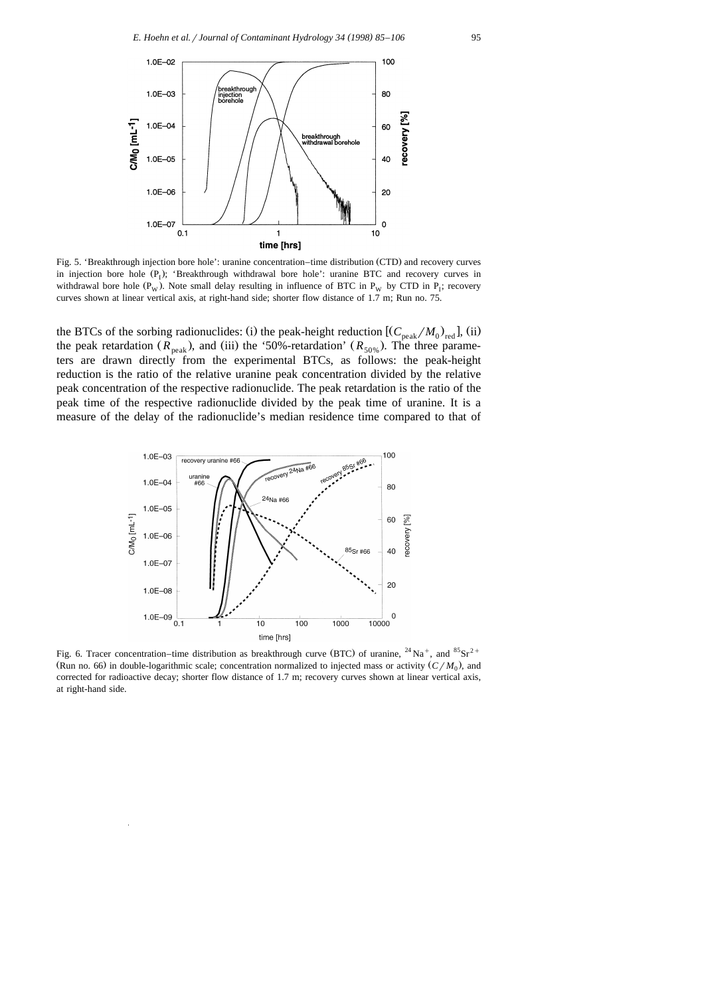

Fig. 5. 'Breakthrough injection bore hole': uranine concentration–time distribution (CTD) and recovery curves in injection bore hole  $(P_1)$ ; 'Breakthrough withdrawal bore hole': uranine BTC and recovery curves in withdrawal bore hole ( $P_w$ ). Note small delay resulting in influence of BTC in  $P_w$  by CTD in  $P_i$ ; recovery curves shown at linear vertical axis, at right-hand side; shorter flow distance of 1.7 m; Run no. 75.

the BTCs of the sorbing radionuclides: (i) the peak-height reduction  $[(C_{\text{peak}}/M_0)_{\text{red}}]$ , (ii) the peak retardation  $(R_{peak})$ , and (iii) the '50%-retardation'  $(R_{50\%})$ . The three parameters are drawn directly from the experimental BTCs, as follows: the peak-height reduction is the ratio of the relative uranine peak concentration divided by the relative peak concentration of the respective radionuclide. The peak retardation is the ratio of the peak time of the respective radionuclide divided by the peak time of uranine. It is a measure of the delay of the radionuclide's median residence time compared to that of



Fig. 6. Tracer concentration–time distribution as breakthrough curve (BTC) of uranine,  $^{24}$ Na<sup>+</sup>, and  $^{85}$ Sr<sup>2+</sup> (Run no. 66) in double-logarithmic scale; concentration normalized to injected mass or activity  $(C/M_0)$ , and corrected for radioactive decay; shorter flow distance of 1.7 m; recovery curves shown at linear vertical axis, at right-hand side.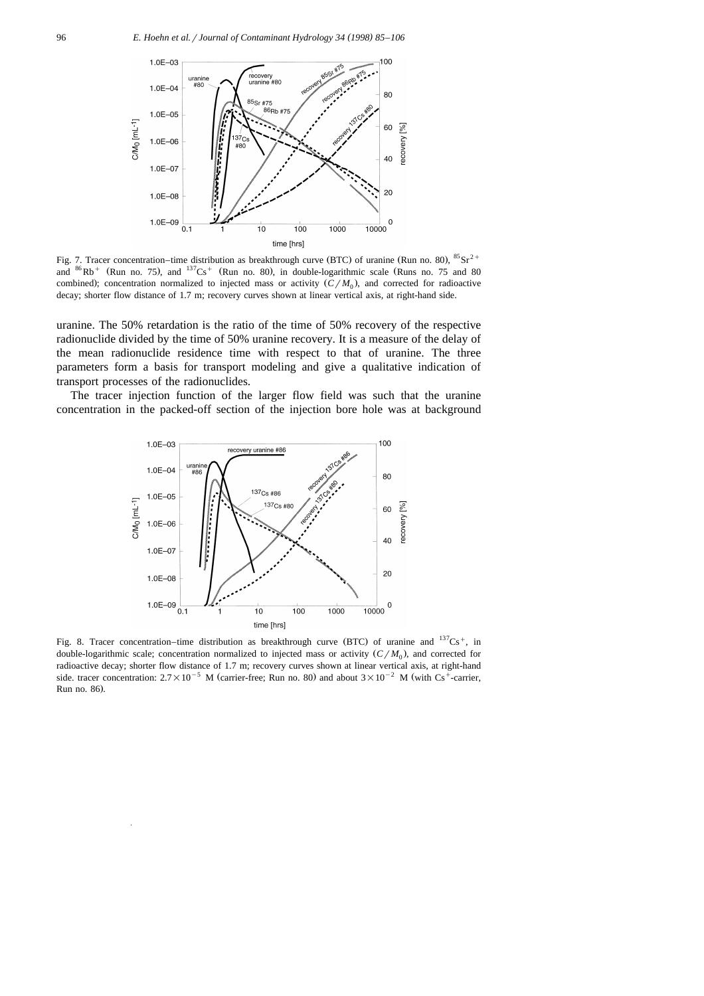

Fig. 7. Tracer concentration–time distribution as breakthrough curve (BTC) of uranine (Run no. 80),  ${}^{85}Sr^{2+}$  and  ${}^{86}Rb^{+}$  (Run no. 75), and  ${}^{137}Cs^{+}$  (Run no. 80), in double-logarithmic scale (Runs no. 75 and 8 combined); concentration normalized to injected mass or activity  $(C/M_0)$ , and corrected for radioactive decay; shorter flow distance of 1.7 m; recovery curves shown at linear vertical axis, at right-hand side.

uranine. The 50% retardation is the ratio of the time of 50% recovery of the respective radionuclide divided by the time of 50% uranine recovery. It is a measure of the delay of the mean radionuclide residence time with respect to that of uranine. The three parameters form a basis for transport modeling and give a qualitative indication of transport processes of the radionuclides.

The tracer injection function of the larger flow field was such that the uranine concentration in the packed-off section of the injection bore hole was at background



Fig. 8. Tracer concentration–time distribution as breakthrough curve (BTC) of uranine and  $137Cs^+$ , in double-logarithmic scale; concentration normalized to injected mass or activity  $(C/M_0)$ , and corrected for radioactive decay; shorter flow distance of 1.7 m; recovery curves shown at linear vertical axis, at right-hand side. tracer concentration:  $2.7 \times 10^{-5}$  M (carrier-free; Run no. 80) and about  $3 \times 10^{-2}$  M (with Cs<sup>+</sup>-carrier, Run no. 86).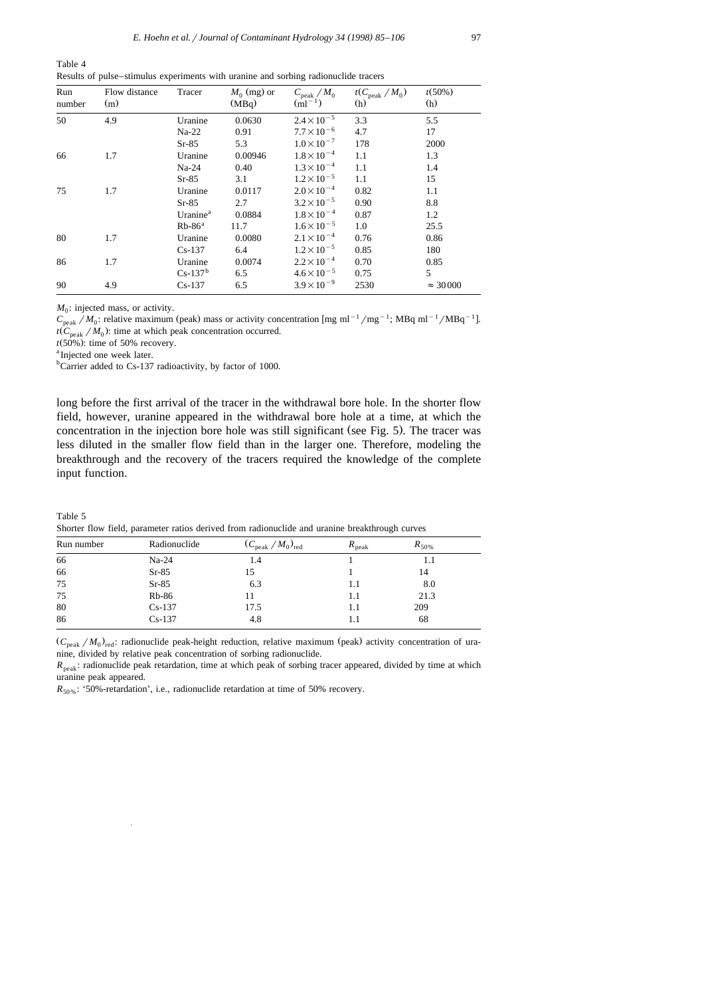| Run<br>number | Flow distance<br>(m) | Tracer               | $M_0$ (mg) or<br>(MBq) | $C_{\rm peak}$ / $M_0$<br>$(ml^{-1})$ | $t(C_{\text{peak}}/M_0)$<br>(h) | t(50%)<br>(h)    |
|---------------|----------------------|----------------------|------------------------|---------------------------------------|---------------------------------|------------------|
| 50            | 4.9                  | Uranine              | 0.0630                 | $2.4 \times 10^{-5}$                  | 3.3                             | 5.5              |
|               |                      | $Na-22$              | 0.91                   | $7.7 \times 10^{-6}$                  | 4.7                             | 17               |
|               |                      | $Sr-85$              | 5.3                    | $1.0\times10^{-7}$                    | 178                             | 2000             |
| 66            | 1.7                  | Uranine              | 0.00946                | $1.8 \times 10^{-4}$                  | 1.1                             | 1.3              |
|               |                      | $Na-24$              | 0.40                   | $1.3 \times 10^{-4}$                  | 1.1                             | 1.4              |
|               |                      | $Sr-85$              | 3.1                    | $1.2 \times 10^{-5}$                  | 1.1                             | 15               |
| 75            | 1.7                  | Uranine              | 0.0117                 | $2.0 \times 10^{-4}$                  | 0.82                            | 1.1              |
|               |                      | $Sr-85$              | 2.7                    | $3.2 \times 10^{-5}$                  | 0.90                            | 8.8              |
|               |                      | Uranine <sup>a</sup> | 0.0884                 | $1.8 \times 10^{-4}$                  | 0.87                            | 1.2              |
|               |                      | $Rb-86^a$            | 11.7                   | $1.6 \times 10^{-5}$                  | 1.0                             | 25.5             |
| 80            | 1.7                  | Uranine              | 0.0080                 | $2.1 \times 10^{-4}$                  | 0.76                            | 0.86             |
|               |                      | $Cs-137$             | 6.4                    | $1.2 \times 10^{-5}$                  | 0.85                            | 180              |
| 86            | 1.7                  | Uranine              | 0.0074                 | $2.2 \times 10^{-4}$                  | 0.70                            | 0.85             |
|               |                      | $Cs-137b$            | 6.5                    | $4.6 \times 10^{-5}$                  | 0.75                            | 5                |
| 90            | 4.9                  | $Cs-137$             | 6.5                    | $3.9 \times 10^{-9}$                  | 2530                            | $\approx$ 30 000 |

Table 4 Results of pulse–stimulus experiments with uranine and sorbing radionuclide tracers

 $M<sub>o</sub>$ : injected mass, or activity.

 $C_{\text{peak}} / M_0$ : relative maximum (peak) mass or activity concentration [mg ml<sup>-1</sup>/mg<sup>-1</sup>; MBq ml<sup>-1</sup>/MBq<sup>-1</sup>].  $t$ ( $C_{\text{peak}}$  / $M_0$ ): time at which peak concentration occurred.

 $t(50\%)$ : time of 50% recovery.

<sup>a</sup> Injected one week later.

Table 5

<sup>b</sup>Carrier added to Cs-137 radioactivity, by factor of 1000.

long before the first arrival of the tracer in the withdrawal bore hole. In the shorter flow field, however, uranine appeared in the withdrawal bore hole at a time, at which the concentration in the injection bore hole was still significant (see Fig. 5). The tracer was less diluted in the smaller flow field than in the larger one. Therefore, modeling the breakthrough and the recovery of the tracers required the knowledge of the complete input function.

| Radionuclide | $(C_{\text{peak}}/M_0)_{\text{red}}$ | peak | $R_{50\%}$ |        |  |
|--------------|--------------------------------------|------|------------|--------|--|
| $Na-24$      | 1.4                                  |      | 1.1        |        |  |
| $Sr-85$      | 15                                   |      | 14         |        |  |
| $Sr-85$      | 6.3                                  | 1.1  | 8.0        |        |  |
| <b>Rb-86</b> | 11                                   | 1.1  | 21.3       |        |  |
| $Cs-137$     | 17.5                                 | 1.1  | 209        |        |  |
| $Cs-137$     | 4.8                                  | 1.1  | 68         |        |  |
|              |                                      |      |            | $\sim$ |  |

Shorter flow field, parameter ratios derived from radionuclide and uranine breakthrough curves

 $(C_{\text{peak}}/M_0)_{\text{red}}$ : radionuclide peak-height reduction, relative maximum (peak) activity concentration of uranine, divided by relative peak concentration of sorbing radionuclide.

 $R_{\text{peak}}$ : radionuclide peak retardation, time at which peak of sorbing tracer appeared, divided by time at which uranine peak appeared.

 $R_{50\%}$ : '50%-retardation', i.e., radionuclide retardation at time of 50% recovery.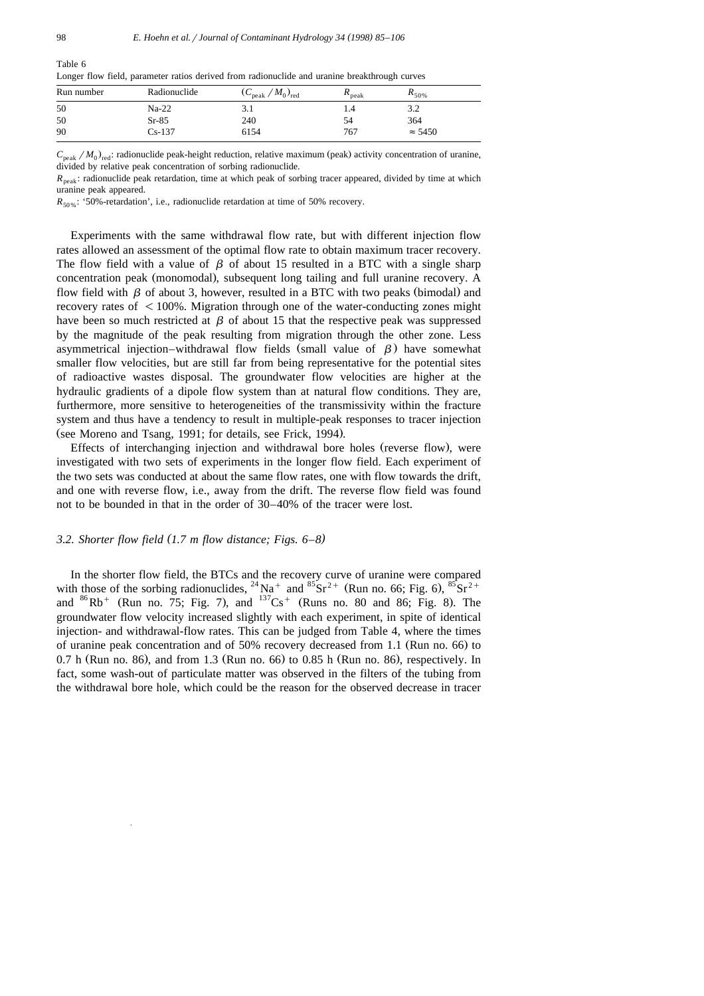| <u>.</u>   |              |                                | ີ                          |                |  |
|------------|--------------|--------------------------------|----------------------------|----------------|--|
| Run number | Radionuclide | $(C_{\rm peak}/M_0)_{\rm red}$ | $\mathbf{r}_{\text{peak}}$ | $R_{50\%}$     |  |
| 50         | $Na-22$      |                                | 1.4                        | 3.2            |  |
| 50         | $Sr-85$      | 240                            | 54                         | 364            |  |
| 90         | $Cs-137$     | 6154                           | 767                        | $\approx$ 5450 |  |
|            |              |                                |                            |                |  |

Longer flow field, parameter ratios derived from radionuclide and uranine breakthrough curves

 $C_{\text{peak}}/M_0$ , radionuclide peak-height reduction, relative maximum (peak) activity concentration of uranine, divided by relative peak concentration of sorbing radionuclide.

 $R_{peak}$ : radionuclide peak retardation, time at which peak of sorbing tracer appeared, divided by time at which uranine peak appeared.

 $R_{50\%}$ : '50%-retardation', i.e., radionuclide retardation at time of 50% recovery.

Experiments with the same withdrawal flow rate, but with different injection flow rates allowed an assessment of the optimal flow rate to obtain maximum tracer recovery. The flow field with a value of  $\beta$  of about 15 resulted in a BTC with a single sharp concentration peak (monomodal), subsequent long tailing and full uranine recovery. A flow field with  $\beta$  of about 3, however, resulted in a BTC with two peaks (bimodal) and recovery rates of  $\leq 100\%$ . Migration through one of the water-conducting zones might have been so much restricted at  $\beta$  of about 15 that the respective peak was suppressed by the magnitude of the peak resulting from migration through the other zone. Less asymmetrical injection–withdrawal flow fields (small value of  $\beta$ ) have somewhat smaller flow velocities, but are still far from being representative for the potential sites of radioactive wastes disposal. The groundwater flow velocities are higher at the hydraulic gradients of a dipole flow system than at natural flow conditions. They are, furthermore, more sensitive to heterogeneities of the transmissivity within the fracture system and thus have a tendency to result in multiple-peak responses to tracer injection (see Moreno and Tsang, 1991; for details, see Frick, 1994).

Effects of interchanging injection and withdrawal bore holes (reverse flow), were investigated with two sets of experiments in the longer flow field. Each experiment of the two sets was conducted at about the same flow rates, one with flow towards the drift, and one with reverse flow, i.e., away from the drift. The reverse flow field was found not to be bounded in that in the order of 30–40% of the tracer were lost.

## 3.2. Shorter flow field  $(1.7 \text{ m flow distance};$  Figs.  $6-8$ )

In the shorter flow field, the BTCs and the recovery curve of uranine were compared<br>with those of the sorbing radionuclides,  $^{24}$  Na<sup>+</sup> and  $^{85}$ Sr<sup>2+</sup> (Run no. 66; Fig. 6),  $^{85}$ Sr<sup>2+</sup><br>and  $^{86}$ Rb<sup>+</sup> (Run no. 75; Fi groundwater flow velocity increased slightly with each experiment, in spite of identical injection- and withdrawal-flow rates. This can be judged from Table 4, where the times of uranine peak concentration and of 50% recovery decreased from 1.1 (Run no. 66) to 0.7 h (Run no. 86), and from 1.3 (Run no. 66) to 0.85 h (Run no. 86), respectively. In fact, some wash-out of particulate matter was observed in the filters of the tubing from the withdrawal bore hole, which could be the reason for the observed decrease in tracer

Table 6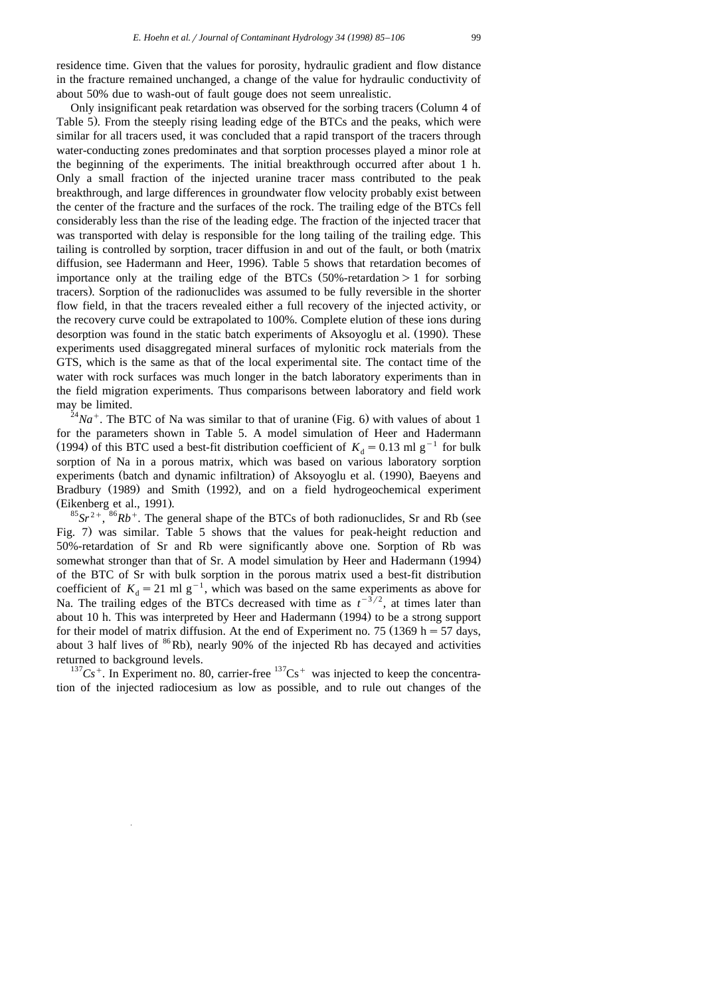residence time. Given that the values for porosity, hydraulic gradient and flow distance in the fracture remained unchanged, a change of the value for hydraulic conductivity of about 50% due to wash-out of fault gouge does not seem unrealistic.

Only insignificant peak retardation was observed for the sorbing tracers (Column 4 of Table 5). From the steeply rising leading edge of the BTCs and the peaks, which were similar for all tracers used, it was concluded that a rapid transport of the tracers through water-conducting zones predominates and that sorption processes played a minor role at the beginning of the experiments. The initial breakthrough occurred after about 1 h. Only a small fraction of the injected uranine tracer mass contributed to the peak breakthrough, and large differences in groundwater flow velocity probably exist between the center of the fracture and the surfaces of the rock. The trailing edge of the BTCs fell considerably less than the rise of the leading edge. The fraction of the injected tracer that was transported with delay is responsible for the long tailing of the trailing edge. This tailing is controlled by sorption, tracer diffusion in and out of the fault, or both (matrix diffusion, see Hadermann and Heer, 1996). Table 5 shows that retardation becomes of importance only at the trailing edge of the BTCs  $(50\%$ -retardation  $> 1$  for sorbing tracers). Sorption of the radionuclides was assumed to be fully reversible in the shorter flow field, in that the tracers revealed either a full recovery of the injected activity, or the recovery curve could be extrapolated to 100%. Complete elution of these ions during desorption was found in the static batch experiments of Aksoyoglu et al. (1990). These experiments used disaggregated mineral surfaces of mylonitic rock materials from the GTS, which is the same as that of the local experimental site. The contact time of the water with rock surfaces was much longer in the batch laboratory experiments than in the field migration experiments. Thus comparisons between laboratory and field work may be limited.<br><sup>24</sup>*Na*<sup>+</sup>. The BTC of Na was similar to that of uranine (Fig. 6) with values of about 1

for the parameters shown in Table 5. A model simulation of Heer and Hadermann (1994) of this BTC used a best-fit distribution coefficient of  $K_d = 0.13$  ml g<sup>-1</sup> for bulk sorption of Na in a porous matrix, which was based on various laboratory sorption experiments (batch and dynamic infiltration) of Aksoyoglu et al. (1990), Baeyens and Bradbury (1989) and Smith (1992), and on a field hydrogeochemical experiment (Eikenberg et al., 1991).<br><sup>85</sup>*Sr*<sup>2+</sup>, <sup>86</sup>*Rb*<sup>+</sup>. The general shape of the BTCs of both radionuclides, Sr and Rb (see

Fig. 7) was similar. Table 5 shows that the values for peak-height reduction and 50%-retardation of Sr and Rb were significantly above one. Sorption of Rb was somewhat stronger than that of Sr. A model simulation by Heer and Hadermann (1994) of the BTC of Sr with bulk sorption in the porous matrix used a best-fit distribution coefficient of  $K_d = 21$  ml g<sup>-1</sup>, which was based on the same experiments as above for Na. The trailing edges of the BTCs decreased with time as  $t^{-3/2}$ , at times later than about 10 h. This was interpreted by Heer and Hadermann (1994) to be a strong support for their model of matrix diffusion. At the end of Experiment no. 75 (1369 h = 57 days, about 3 half lives of  ${}^{86}$ Rb), nearly 90% of the injected Rb has decayed and activities

returned to background levels.<br><sup>137</sup>Cs<sup>+</sup>. In Experiment no. 80, carrier-free <sup>137</sup>Cs<sup>+</sup> was injected to keep the concentration of the injected radiocesium as low as possible, and to rule out changes of the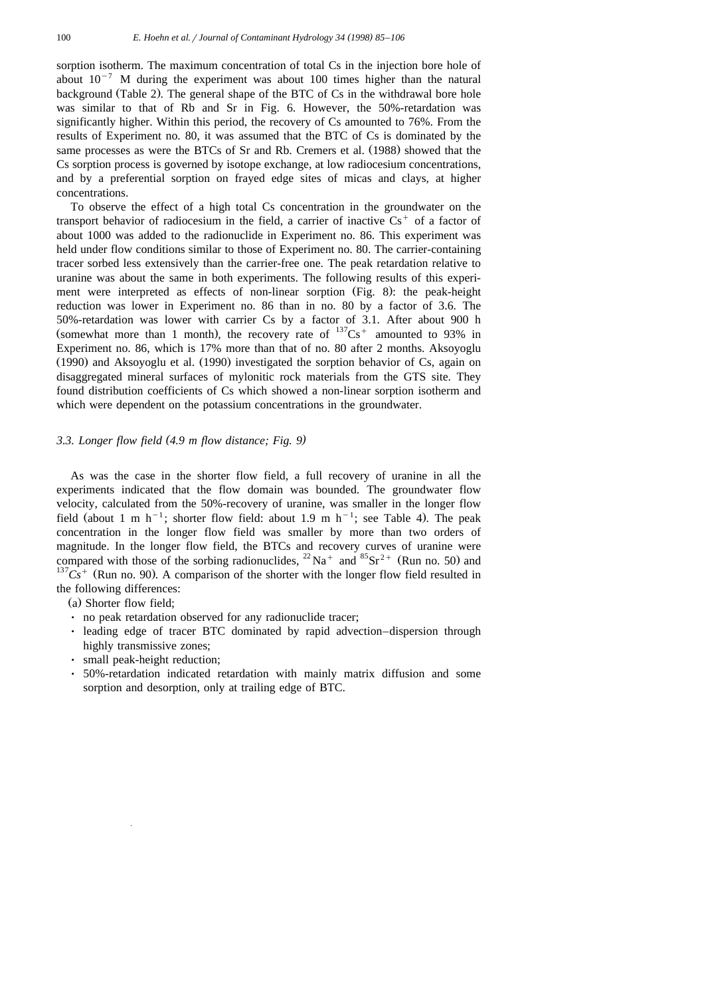sorption isotherm. The maximum concentration of total Cs in the injection bore hole of about  $10^{-7}$  M during the experiment was about 100 times higher than the natural background (Table 2). The general shape of the BTC of Cs in the withdrawal bore hole was similar to that of Rb and Sr in Fig. 6. However, the 50%-retardation was significantly higher. Within this period, the recovery of Cs amounted to 76%. From the results of Experiment no. 80, it was assumed that the BTC of Cs is dominated by the same processes as were the BTCs of Sr and Rb. Cremers et al. (1988) showed that the Cs sorption process is governed by isotope exchange, at low radiocesium concentrations, and by a preferential sorption on frayed edge sites of micas and clays, at higher concentrations.

To observe the effect of a high total Cs concentration in the groundwater on the transport behavior of radiocesium in the field, a carrier of inactive  $Cs<sup>+</sup>$  of a factor of about 1000 was added to the radionuclide in Experiment no. 86. This experiment was held under flow conditions similar to those of Experiment no. 80. The carrier-containing tracer sorbed less extensively than the carrier-free one. The peak retardation relative to uranine was about the same in both experiments. The following results of this experiment were interpreted as effects of non-linear sorption (Fig. 8): the peak-height reduction was lower in Experiment no. 86 than in no. 80 by a factor of 3.6. The 50%-retardation was lower with carrier Cs by a factor of 3.1. After about 900 h (somewhat more than 1 month), the recovery rate of  $^{137}Cs^+$  amounted to 93% in Experiment no. 86, which is 17% more than that of no. 80 after 2 months. Aksoyoglu  $(1990)$  and Aksoyoglu et al.  $(1990)$  investigated the sorption behavior of Cs, again on disaggregated mineral surfaces of mylonitic rock materials from the GTS site. They found distribution coefficients of Cs which showed a non-linear sorption isotherm and which were dependent on the potassium concentrations in the groundwater.

## *3.3. Longer flow field 4.9 m flow distance; Fig. 9 ( )*

As was the case in the shorter flow field, a full recovery of uranine in all the experiments indicated that the flow domain was bounded. The groundwater flow velocity, calculated from the 50%-recovery of uranine, was smaller in the longer flow field (about 1 m h<sup>-1</sup>; shorter flow field: about 1.9 m h<sup>-1</sup>; see Table 4). The peak concentration in the longer flow field was smaller by more than two orders of magnitude. In the longer flow field, the BTCs and recovery curves of uranine were compared with those of the sorbing radionuclides,  $^{22}$  Na<sup>+</sup> and  $^{85}$ Sr<sup>2+</sup> (Run no. 50) and  $^{137}Cs$ <sup>+</sup> (Run no. 90). A comparison of the shorter with the longer flow field resulted in the following differences:

(a) Shorter flow field;

- no peak retardation observed for any radionuclide tracer;
- I leading edge of tracer BTC dominated by rapid advection–dispersion through highly transmissive zones;
- small peak-height reduction;
- Ø 50%-retardation indicated retardation with mainly matrix diffusion and some sorption and desorption, only at trailing edge of BTC.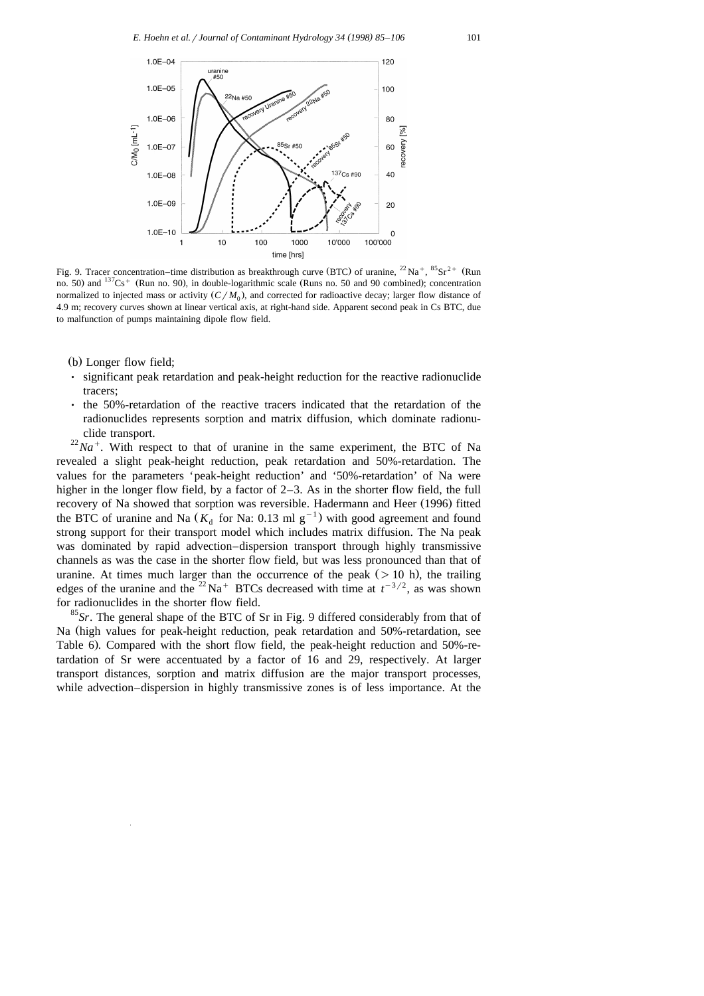

Fig. 9. Tracer concentration–time distribution as breakthrough curve (BTC) of uranine,  $^{22}$  Na  $^+$ ,  $^{85}$ Sr  $^{2+}$  (Run no. 50) and  $137Cs$ <sup>+</sup> (Run no. 90), in double-logarithmic scale (Runs no. 50 and 90 combined); concentration normalized to injected mass or activity  $(C/M_0)$ , and corrected for radioactive decay; larger flow distance of 4.9 m; recovery curves shown at linear vertical axis, at right-hand side. Apparent second peak in Cs BTC, due to malfunction of pumps maintaining dipole flow field.

- (b) Longer flow field;
- significant peak retardation and peak-height reduction for the reactive radionuclide tracers;
- $\cdot$  the 50%-retardation of the reactive tracers indicated that the retardation of the radionuclides represents sorption and matrix diffusion, which dominate radionu-

clide transport.<br><sup>22</sup>*Na*<sup>+</sup>. With respect to that of uranine in the same experiment, the BTC of Na revealed a slight peak-height reduction, peak retardation and 50%-retardation. The values for the parameters 'peak-height reduction' and '50%-retardation' of Na were higher in the longer flow field, by a factor of 2–3. As in the shorter flow field, the full recovery of Na showed that sorption was reversible. Hadermann and Heer (1996) fitted the BTC of uranine and Na  $(K_d$  for Na: 0.13 ml g<sup>-1</sup>) with good agreement and found strong support for their transport model which includes matrix diffusion. The Na peak was dominated by rapid advection–dispersion transport through highly transmissive channels as was the case in the shorter flow field, but was less pronounced than that of uranine. At times much larger than the occurrence of the peak  $($  > 10 h), the trailing edges of the uranine and the <sup>22</sup>Na<sup>+</sup> BTCs decreased with time at  $t^{-3/2}$ , as was shown for radionuclides in the shorter flow field. <sup>85</sup>*Sr*. The general shape of the BTC of Sr in Fig. 9 differed considerably from that of

Na (high values for peak-height reduction, peak retardation and 50%-retardation, see Table 6). Compared with the short flow field, the peak-height reduction and 50%-retardation of Sr were accentuated by a factor of 16 and 29, respectively. At larger transport distances, sorption and matrix diffusion are the major transport processes, while advection–dispersion in highly transmissive zones is of less importance. At the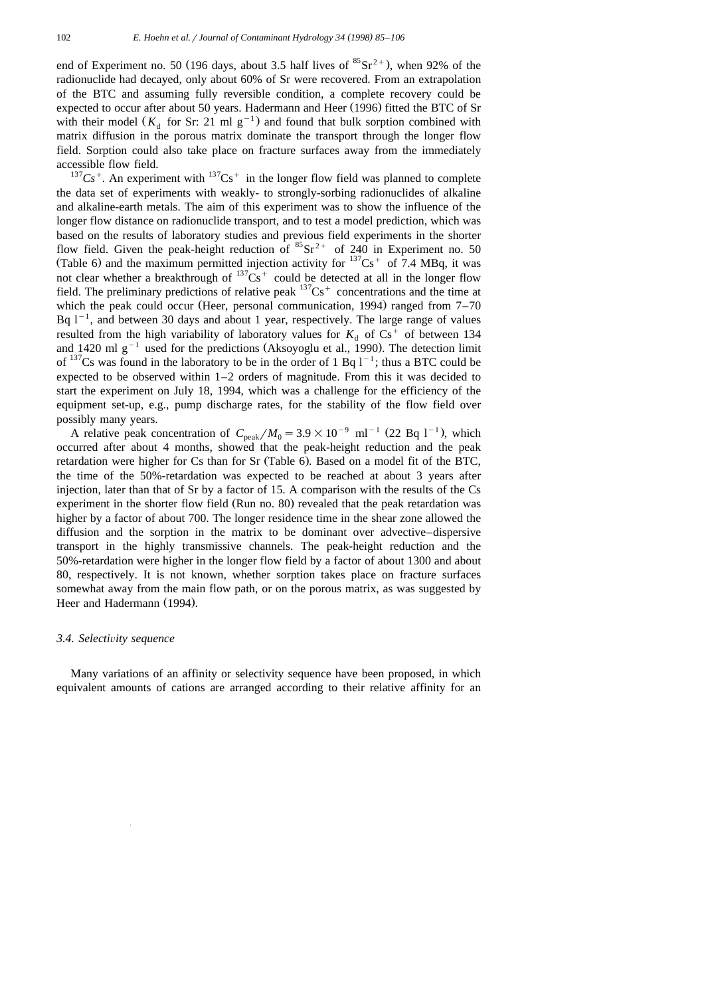end of Experiment no. 50 (196 days, about 3.5 half lives of  ${}^{85}\text{Sr}^{2+}$ ), when 92% of the radionuclide had decayed, only about 60% of Sr were recovered. From an extrapolation of the BTC and assuming fully reversible condition, a complete recovery could be expected to occur after about 50 years. Hadermann and Heer (1996) fitted the BTC of Sr with their model ( $K_A$  for Sr: 21 ml g<sup>-1</sup>) and found that bulk sorption combined with matrix diffusion in the porous matrix dominate the transport through the longer flow field. Sorption could also take place on fracture surfaces away from the immediately accessible flow field.<br><sup>137</sup>Cs<sup>+</sup>. An experiment with <sup>137</sup>Cs<sup>+</sup> in the longer flow field was planned to complete

the data set of experiments with weakly- to strongly-sorbing radionuclides of alkaline and alkaline-earth metals. The aim of this experiment was to show the influence of the longer flow distance on radionuclide transport, and to test a model prediction, which was based on the results of laboratory studies and previous field experiments in the shorter flow field. Given the peak-height reduction of  ${}^{85}Sr^{2+}$  of 240 in Experiment no. 50 (Table 6) and the maximum permitted injection activity for  $137Cs<sup>+</sup>$  of 7.4 MBq, it was not clear whether a breakthrough of  $137Cs^+$  could be detected at all in the longer flow field. The preliminary predictions of relative peak  $137Cs$ <sup>+</sup> concentrations and the time at which the peak could occur (Heer, personal communication, 1994) ranged from  $7-70$ Bq  $1^{-1}$ , and between 30 days and about 1 year, respectively. The large range of values resulted from the high variability of laboratory values for  $K_d$  of  $Cs^+$  of between 134 and 1420 ml g<sup>-1</sup> used for the predictions (Aksoyoglu et al., 1990). The detection limit of  $137$ Cs was found in the laboratory to be in the order of 1 Bq  $1^{-1}$ ; thus a BTC could be expected to be observed within  $1-2$  orders of magnitude. From this it was decided to start the experiment on July 18, 1994, which was a challenge for the efficiency of the equipment set-up, e.g., pump discharge rates, for the stability of the flow field over

possibly many years.<br>A relative peak concentration of  $C_{\text{peak}}/M_0 = 3.9 \times 10^{-9} \text{ ml}^{-1}$  (22 Bq l<sup>-1</sup>), which occurred after about 4 months, showed that the peak-height reduction and the peak retardation were higher for  $Cs$  than for  $Sr$  (Table 6). Based on a model fit of the BTC, the time of the 50%-retardation was expected to be reached at about 3 years after injection, later than that of Sr by a factor of 15. A comparison with the results of the Cs experiment in the shorter flow field (Run no. 80) revealed that the peak retardation was higher by a factor of about 700. The longer residence time in the shear zone allowed the diffusion and the sorption in the matrix to be dominant over advective–dispersive transport in the highly transmissive channels. The peak-height reduction and the 50%-retardation were higher in the longer flow field by a factor of about 1300 and about 80, respectively. It is not known, whether sorption takes place on fracture surfaces somewhat away from the main flow path, or on the porous matrix, as was suggested by Heer and Hadermann (1994).

### *3.4. Selecti*Õ*ity sequence*

Many variations of an affinity or selectivity sequence have been proposed, in which equivalent amounts of cations are arranged according to their relative affinity for an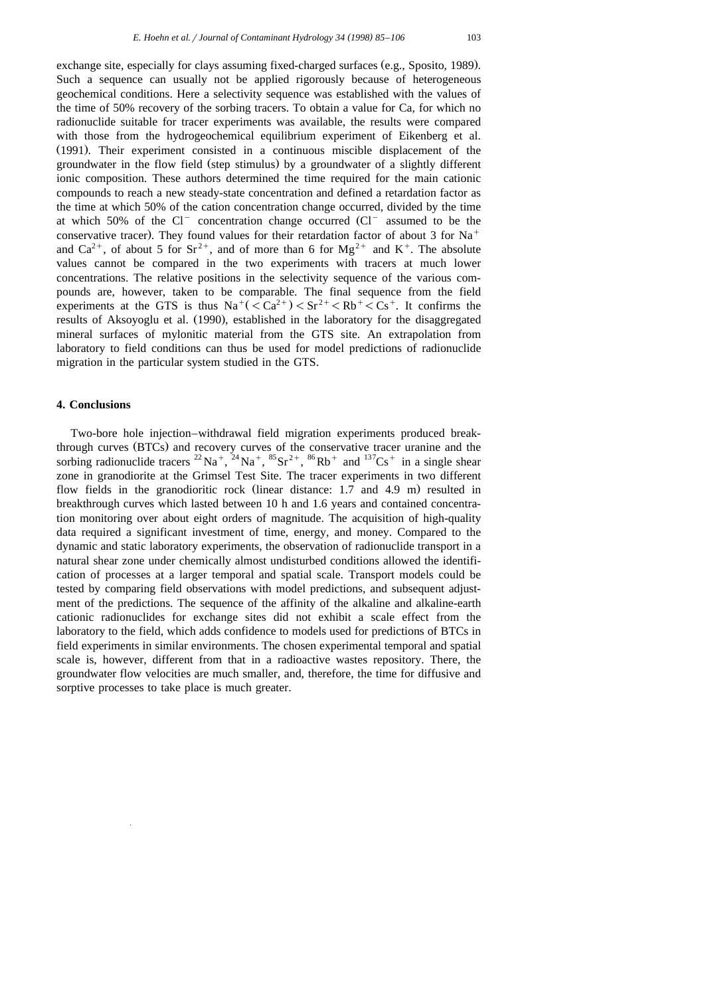exchange site, especially for clays assuming fixed-charged surfaces (e.g., Sposito, 1989). Such a sequence can usually not be applied rigorously because of heterogeneous geochemical conditions. Here a selectivity sequence was established with the values of the time of 50% recovery of the sorbing tracers. To obtain a value for Ca, for which no radionuclide suitable for tracer experiments was available, the results were compared with those from the hydrogeochemical equilibrium experiment of Eikenberg et al. (1991). Their experiment consisted in a continuous miscible displacement of the groundwater in the flow field (step stimulus) by a groundwater of a slightly different ionic composition. These authors determined the time required for the main cationic compounds to reach a new steady-state concentration and defined a retardation factor as the time at which 50% of the cation concentration change occurred, divided by the time at which 50% of the  $Cl^-$  concentration change occurred  $(Cl^-$  assumed to be the conservative tracer). They found values for their retardation factor of about 3 for  $Na<sup>+</sup>$ and Ca<sup>2+</sup>, of about 5 for Sr<sup>2+</sup>, and of more than 6 for Mg<sup>2+</sup> and K<sup>+</sup>. The absolute values cannot be compared in the two experiments with tracers at much lower concentrations. The relative positions in the selectivity sequence of the various compounds are, however, taken to be comparable. The final sequence from the field experiments at the GTS is thus  $\text{Na}^+$ ( $\text{Ca}^{2+}$ ) $\text{Ca}^{2+}$  $\text{Ca}^{2+}$  $\text{Ca}^{2+}$  $\text{Ca}^{2+}$ . It confirms the results of Aksoyoglu et al. (1990), established in the laboratory for the disaggregated mineral surfaces of mylonitic material from the GTS site. An extrapolation from laboratory to field conditions can thus be used for model predictions of radionuclide migration in the particular system studied in the GTS.

## **4. Conclusions**

Two-bore hole injection–withdrawal field migration experiments produced breakthrough curves (BTCs) and recovery curves of the conservative tracer uranine and the sorbing radionuclide tracers <sup>22</sup> Na<sup>+</sup>, <sup>24</sup> Na<sup>+</sup>, <sup>85</sup> Sr<sup>2+</sup>, <sup>86</sup>Rb<sup>+</sup> and <sup>137</sup>Cs<sup>+</sup> in a single shear zone in granodiorite at the Grimsel Test Site. The tracer experiments in two different flow fields in the granodioritic rock (linear distance:  $1.7$  and  $4.9$  m) resulted in breakthrough curves which lasted between 10 h and 1.6 years and contained concentration monitoring over about eight orders of magnitude. The acquisition of high-quality data required a significant investment of time, energy, and money. Compared to the dynamic and static laboratory experiments, the observation of radionuclide transport in a natural shear zone under chemically almost undisturbed conditions allowed the identification of processes at a larger temporal and spatial scale. Transport models could be tested by comparing field observations with model predictions, and subsequent adjustment of the predictions. The sequence of the affinity of the alkaline and alkaline-earth cationic radionuclides for exchange sites did not exhibit a scale effect from the laboratory to the field, which adds confidence to models used for predictions of BTCs in field experiments in similar environments. The chosen experimental temporal and spatial scale is, however, different from that in a radioactive wastes repository. There, the groundwater flow velocities are much smaller, and, therefore, the time for diffusive and sorptive processes to take place is much greater.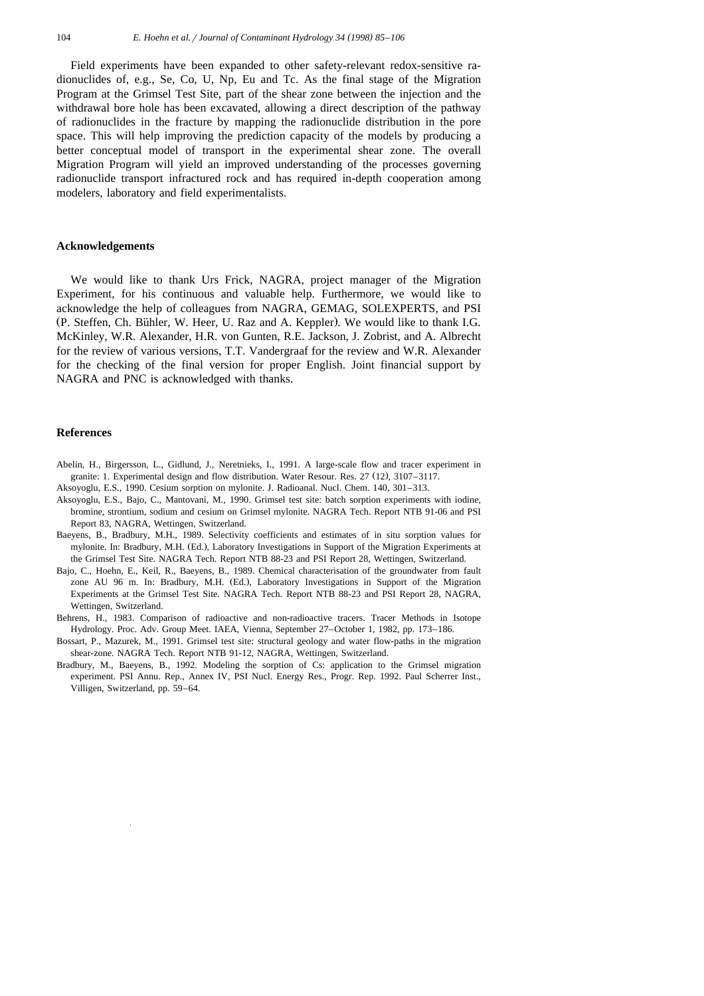Field experiments have been expanded to other safety-relevant redox-sensitive radionuclides of, e.g., Se, Co, U, Np, Eu and Tc. As the final stage of the Migration Program at the Grimsel Test Site, part of the shear zone between the injection and the withdrawal bore hole has been excavated, allowing a direct description of the pathway of radionuclides in the fracture by mapping the radionuclide distribution in the pore space. This will help improving the prediction capacity of the models by producing a better conceptual model of transport in the experimental shear zone. The overall Migration Program will yield an improved understanding of the processes governing radionuclide transport infractured rock and has required in-depth cooperation among modelers, laboratory and field experimentalists.

#### **Acknowledgements**

We would like to thank Urs Frick, NAGRA, project manager of the Migration Experiment, for his continuous and valuable help. Furthermore, we would like to acknowledge the help of colleagues from NAGRA, GEMAG, SOLEXPERTS, and PSI (P. Steffen, Ch. Bühler, W. Heer, U. Raz and A. Keppler). We would like to thank I.G. McKinley, W.R. Alexander, H.R. von Gunten, R.E. Jackson, J. Zobrist, and A. Albrecht for the review of various versions, T.T. Vandergraaf for the review and W.R. Alexander for the checking of the final version for proper English. Joint financial support by NAGRA and PNC is acknowledged with thanks.

## **References**

- Abelin, H., Birgersson, L., Gidlund, J., Neretnieks, I., 1991. A large-scale flow and tracer experiment in granite: 1. Experimental design and flow distribution. Water Resour. Res. 27 (12), 3107–3117.
- Aksoyoglu, E.S., 1990. Cesium sorption on mylonite. J. Radioanal. Nucl. Chem. 140, 301–313.
- Aksoyoglu, E.S., Bajo, C., Mantovani, M., 1990. Grimsel test site: batch sorption experiments with iodine, bromine, strontium, sodium and cesium on Grimsel mylonite. NAGRA Tech. Report NTB 91-06 and PSI Report 83, NAGRA, Wettingen, Switzerland.
- Baeyens, B., Bradbury, M.H., 1989. Selectivity coefficients and estimates of in situ sorption values for mylonite. In: Bradbury, M.H. (Ed.), Laboratory Investigations in Support of the Migration Experiments at the Grimsel Test Site. NAGRA Tech. Report NTB 88-23 and PSI Report 28, Wettingen, Switzerland.
- Bajo, C., Hoehn, E., Keil, R., Baeyens, B., 1989. Chemical characterisation of the groundwater from fault zone AU 96 m. In: Bradbury, M.H. (Ed.), Laboratory Investigations in Support of the Migration Experiments at the Grimsel Test Site. NAGRA Tech. Report NTB 88-23 and PSI Report 28, NAGRA, Wettingen, Switzerland.
- Behrens, H., 1983. Comparison of radioactive and non-radioactive tracers. Tracer Methods in Isotope Hydrology. Proc. Adv. Group Meet. IAEA, Vienna, September 27–October 1, 1982, pp. 173–186.
- Bossart, P., Mazurek, M., 1991. Grimsel test site: structural geology and water flow-paths in the migration shear-zone. NAGRA Tech. Report NTB 91-12, NAGRA, Wettingen, Switzerland.
- Bradbury, M., Baeyens, B., 1992. Modeling the sorption of Cs: application to the Grimsel migration experiment. PSI Annu. Rep., Annex IV, PSI Nucl. Energy Res., Progr. Rep. 1992. Paul Scherrer Inst., Villigen, Switzerland, pp. 59–64.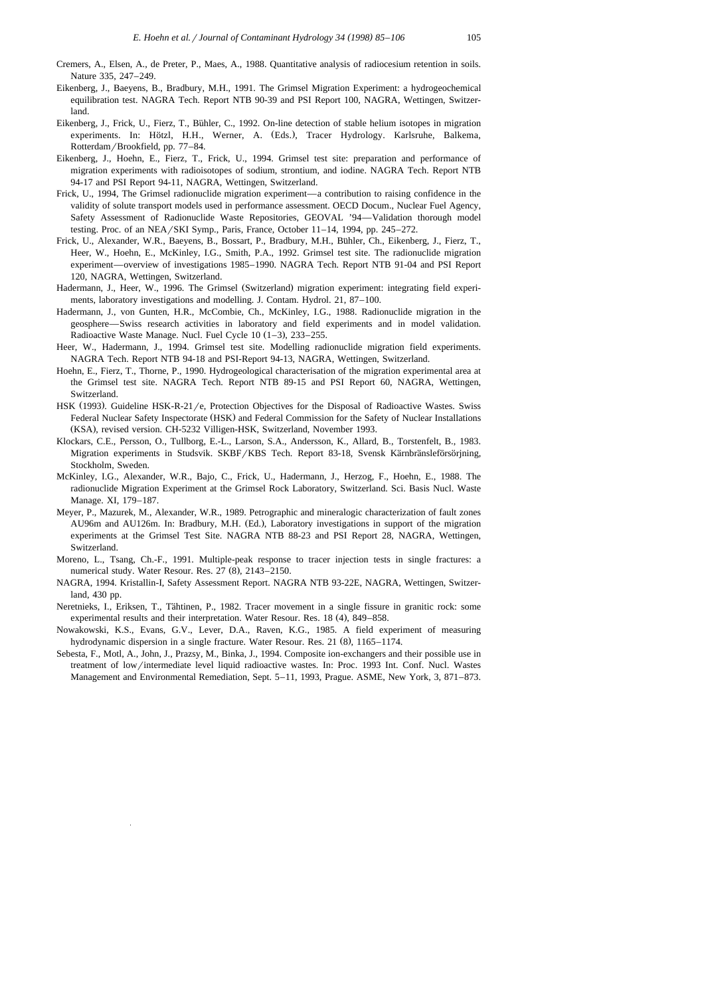- Cremers, A., Elsen, A., de Preter, P., Maes, A., 1988. Quantitative analysis of radiocesium retention in soils. Nature 335, 247–249.
- Eikenberg, J., Baeyens, B., Bradbury, M.H., 1991. The Grimsel Migration Experiment: a hydrogeochemical equilibration test. NAGRA Tech. Report NTB 90-39 and PSI Report 100, NAGRA, Wettingen, Switzerland.
- Eikenberg, J., Frick, U., Fierz, T., Buhler, C., 1992. On-line detection of stable helium isotopes in migration ¨ experiments. In: Hötzl, H.H., Werner, A. (Eds.), Tracer Hydrology. Karlsruhe, Balkema, Rotterdam/Brookfield, pp. 77–84.
- Eikenberg, J., Hoehn, E., Fierz, T., Frick, U., 1994. Grimsel test site: preparation and performance of migration experiments with radioisotopes of sodium, strontium, and iodine. NAGRA Tech. Report NTB 94-17 and PSI Report 94-11, NAGRA, Wettingen, Switzerland.
- Frick, U., 1994, The Grimsel radionuclide migration experiment—a contribution to raising confidence in the validity of solute transport models used in performance assessment. OECD Docum., Nuclear Fuel Agency, Safety Assessment of Radionuclide Waste Repositories, GEOVAL '94—Validation thorough model testing. Proc. of an NEA/SKI Symp., Paris, France, October  $11-14$ , 1994, pp. 245–272.
- Frick, U., Alexander, W.R., Baeyens, B., Bossart, P., Bradbury, M.H., Bühler, Ch., Eikenberg, J., Fierz, T., Heer, W., Hoehn, E., McKinley, I.G., Smith, P.A., 1992. Grimsel test site. The radionuclide migration experiment—overview of investigations 1985–1990. NAGRA Tech. Report NTB 91-04 and PSI Report 120, NAGRA, Wettingen, Switzerland.
- Hadermann, J., Heer, W., 1996. The Grimsel (Switzerland) migration experiment: integrating field experiments, laboratory investigations and modelling. J. Contam. Hydrol. 21, 87–100.
- Hadermann, J., von Gunten, H.R., McCombie, Ch., McKinley, I.G., 1988. Radionuclide migration in the geosphere—Swiss research activities in laboratory and field experiments and in model validation. Radioactive Waste Manage. Nucl. Fuel Cycle  $10$   $(1-3)$ ,  $233-255$ .
- Heer, W., Hadermann, J., 1994. Grimsel test site. Modelling radionuclide migration field experiments. NAGRA Tech. Report NTB 94-18 and PSI-Report 94-13, NAGRA, Wettingen, Switzerland.
- Hoehn, E., Fierz, T., Thorne, P., 1990. Hydrogeological characterisation of the migration experimental area at the Grimsel test site. NAGRA Tech. Report NTB 89-15 and PSI Report 60, NAGRA, Wettingen, Switzerland.
- HSK (1993). Guideline HSK-R-21/e, Protection Objectives for the Disposal of Radioactive Wastes. Swiss Federal Nuclear Safety Inspectorate (HSK) and Federal Commission for the Safety of Nuclear Installations (KSA), revised version. CH-5232 Villigen-HSK, Switzerland, November 1993.
- Klockars, C.E., Persson, O., Tullborg, E.-L., Larson, S.A., Andersson, K., Allard, B., Torstenfelt, B., 1983. Migration experiments in Studsvik. SKBF/KBS Tech. Report 83-18, Svensk Kärnbränsleförsörjning, Stockholm, Sweden.
- McKinley, I.G., Alexander, W.R., Bajo, C., Frick, U., Hadermann, J., Herzog, F., Hoehn, E., 1988. The radionuclide Migration Experiment at the Grimsel Rock Laboratory, Switzerland. Sci. Basis Nucl. Waste Manage. XI, 179–187.
- Meyer, P., Mazurek, M., Alexander, W.R., 1989. Petrographic and mineralogic characterization of fault zones AU96m and AU126m. In: Bradbury, M.H. (Ed.), Laboratory investigations in support of the migration experiments at the Grimsel Test Site. NAGRA NTB 88-23 and PSI Report 28, NAGRA, Wettingen, Switzerland.
- Moreno, L., Tsang, Ch.-F., 1991. Multiple-peak response to tracer injection tests in single fractures: a numerical study. Water Resour. Res. 27 (8), 2143-2150.
- NAGRA, 1994. Kristallin-I, Safety Assessment Report. NAGRA NTB 93-22E, NAGRA, Wettingen, Switzerland, 430 pp.
- Neretnieks, I., Eriksen, T., Tähtinen, P., 1982. Tracer movement in a single fissure in granitic rock: some experimental results and their interpretation. Water Resour. Res. 18 (4), 849-858.
- Nowakowski, K.S., Evans, G.V., Lever, D.A., Raven, K.G., 1985. A field experiment of measuring hydrodynamic dispersion in a single fracture. Water Resour. Res. 21 (8), 1165–1174.
- Sebesta, F., Motl, A., John, J., Prazsy, M., Binka, J., 1994. Composite ion-exchangers and their possible use in treatment of low/intermediate level liquid radioactive wastes. In: Proc. 1993 Int. Conf. Nucl. Wastes Management and Environmental Remediation, Sept. 5–11, 1993, Prague. ASME, New York, 3, 871–873.